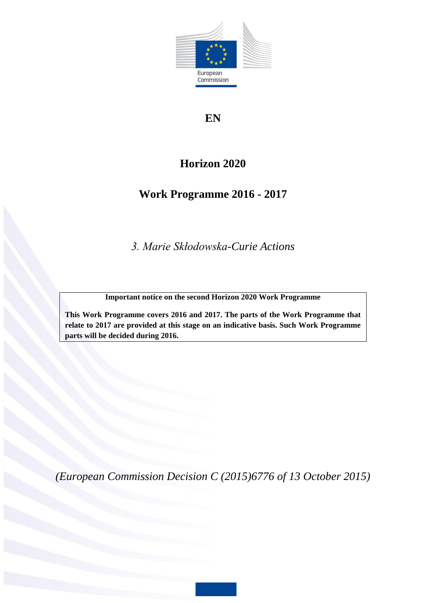

# **EN**

# **Horizon 2020**

# **Work Programme 2016 - 2017**

*3. Marie Skłodowska-Curie Actions*

**Important notice on the second Horizon 2020 Work Programme**

**This Work Programme covers 2016 and 2017. The parts of the Work Programme that relate to 2017 are provided at this stage on an indicative basis. Such Work Programme parts will be decided during 2016.**

*(European Commission Decision C (2015)6776 of 13 October 2015)*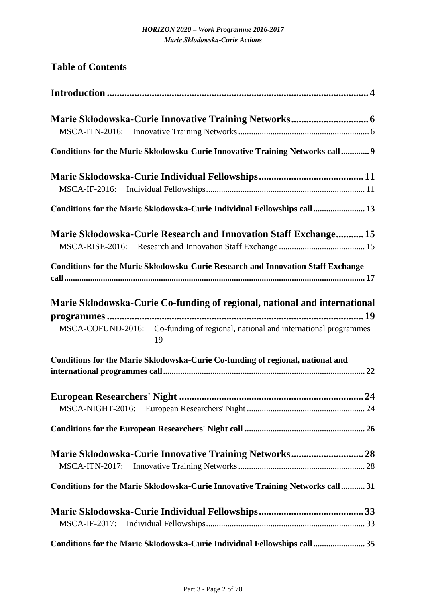| <b>Table of Contents</b>                                                                |
|-----------------------------------------------------------------------------------------|
|                                                                                         |
|                                                                                         |
|                                                                                         |
| Conditions for the Marie Skłodowska-Curie Innovative Training Networks call 9           |
|                                                                                         |
| Conditions for the Marie Skłodowska-Curie Individual Fellowships call 13                |
| <b>Marie Skłodowska-Curie Research and Innovation Staff Exchange 15</b>                 |
| <b>Conditions for the Marie Skłodowska-Curie Research and Innovation Staff Exchange</b> |
| Marie Skłodowska-Curie Co-funding of regional, national and international               |
|                                                                                         |
| MSCA-COFUND-2016: Co-funding of regional, national and international programmes<br>19   |
| Conditions for the Marie Skłodowska-Curie Co-funding of regional, national and          |
|                                                                                         |
|                                                                                         |
|                                                                                         |
|                                                                                         |
| Marie Skłodowska-Curie Innovative Training Networks 28                                  |
| <b>MSCA-ITN-2017:</b>                                                                   |
| Conditions for the Marie Skłodowska-Curie Innovative Training Networks call 31          |
|                                                                                         |
| MSCA-IF-2017:                                                                           |
| Conditions for the Marie Skłodowska-Curie Individual Fellowships call 35                |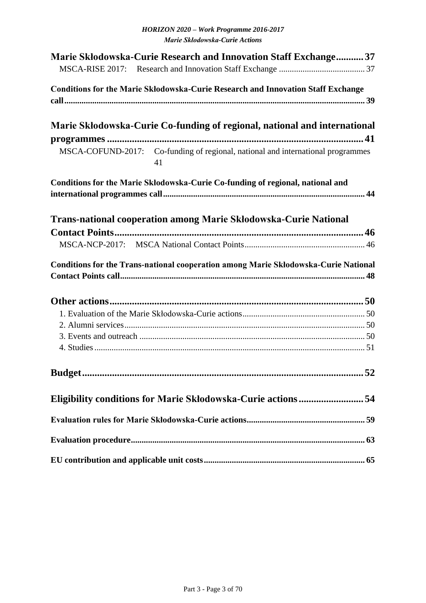| <b>Marie Skłodowska-Curie Research and Innovation Staff Exchange 37</b>                 |
|-----------------------------------------------------------------------------------------|
| <b>Conditions for the Marie Skłodowska-Curie Research and Innovation Staff Exchange</b> |
| Marie Skłodowska-Curie Co-funding of regional, national and international               |
|                                                                                         |
| MSCA-COFUND-2017: Co-funding of regional, national and international programmes<br>41   |
| Conditions for the Marie Skłodowska-Curie Co-funding of regional, national and          |
|                                                                                         |
| <b>Trans-national cooperation among Marie Skłodowska-Curie National</b>                 |
|                                                                                         |
|                                                                                         |
| Conditions for the Trans-national cooperation among Marie Skłodowska-Curie National     |
|                                                                                         |
|                                                                                         |
|                                                                                         |
|                                                                                         |
|                                                                                         |
|                                                                                         |
| Eligibility conditions for Marie Skłodowska-Curie actions54                             |
|                                                                                         |
|                                                                                         |
|                                                                                         |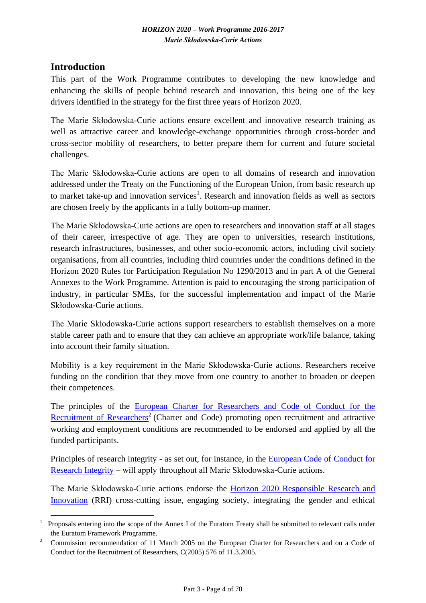# <span id="page-3-0"></span>**Introduction**

This part of the Work Programme contributes to developing the new knowledge and enhancing the skills of people behind research and innovation, this being one of the key drivers identified in the strategy for the first three years of Horizon 2020.

The Marie Skłodowska-Curie actions ensure excellent and innovative research training as well as attractive career and knowledge-exchange opportunities through cross-border and cross-sector mobility of researchers, to better prepare them for current and future societal challenges.

The Marie Skłodowska-Curie actions are open to all domains of research and innovation addressed under the Treaty on the Functioning of the European Union, from basic research up to market take-up and innovation services<sup>1</sup>. Research and innovation fields as well as sectors are chosen freely by the applicants in a fully bottom-up manner.

The Marie Skłodowska-Curie actions are open to researchers and innovation staff at all stages of their career, irrespective of age. They are open to universities, research institutions, research infrastructures, businesses, and other socio-economic actors, including civil society organisations, from all countries, including third countries under the conditions defined in the Horizon 2020 Rules for Participation Regulation No 1290/2013 and in part A of the General Annexes to the Work Programme. Attention is paid to encouraging the strong participation of industry, in particular SMEs, for the successful implementation and impact of the Marie Skłodowska-Curie actions.

The Marie Skłodowska-Curie actions support researchers to establish themselves on a more stable career path and to ensure that they can achieve an appropriate work/life balance, taking into account their family situation.

Mobility is a key requirement in the Marie Skłodowska-Curie actions. Researchers receive funding on the condition that they move from one country to another to broaden or deepen their competences.

The principles of the [European Charter for Researchers and Code of Conduct for the](http://ec.europa.eu/euraxess/index.cfm/rights/whatIsAResearcher)  [Recruitment of Researchers](http://ec.europa.eu/euraxess/index.cfm/rights/whatIsAResearcher)<sup>2</sup> (Charter and Code) promoting open recruitment and attractive working and employment conditions are recommended to be endorsed and applied by all the funded participants.

Principles of research integrity - as set out, for instance, in the [European Code of Conduct for](http://www.esf.org/fileadmin/Public_documents/Publications/Code_Conduct_ResearchIntegrity.pdf)  [Research Integrity](http://www.esf.org/fileadmin/Public_documents/Publications/Code_Conduct_ResearchIntegrity.pdf) – will apply throughout all Marie Skłodowska-Curie actions.

The Marie Skłodowska-Curie actions endorse the [Horizon 2020 Responsible Research and](http://ec.europa.eu/research/swafs/pdf/rome_declaration_RRI_final_21_November.pdf)  [Innovation](http://ec.europa.eu/research/swafs/pdf/rome_declaration_RRI_final_21_November.pdf) (RRI) cross-cutting issue, engaging society, integrating the gender and ethical

<sup>1</sup> <sup>1</sup>Proposals entering into the scope of the Annex I of the Euratom Treaty shall be submitted to relevant calls under the Euratom Framework Programme.

<sup>2</sup>Commission recommendation of 11 March 2005 on the European Charter for Researchers and on a Code of Conduct for the Recruitment of Researchers, C(2005) 576 of 11.3.2005.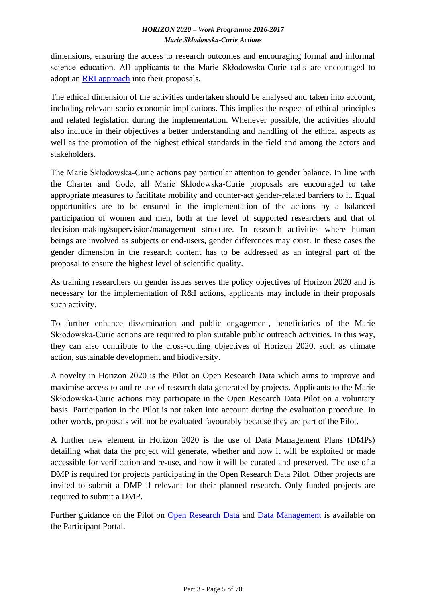dimensions, ensuring the access to research outcomes and encouraging formal and informal science education. All applicants to the Marie Skłodowska-Curie calls are encouraged to adopt an [RRI approach](https://ec.europa.eu/programmes/horizon2020/en/h2020-section/responsible-research-innovation) into their proposals.

The ethical dimension of the activities undertaken should be analysed and taken into account, including relevant socio-economic implications. This implies the respect of ethical principles and related legislation during the implementation. Whenever possible, the activities should also include in their objectives a better understanding and handling of the ethical aspects as well as the promotion of the highest ethical standards in the field and among the actors and stakeholders.

The Marie Skłodowska-Curie actions pay particular attention to gender balance. In line with the Charter and Code, all Marie Skłodowska-Curie proposals are encouraged to take appropriate measures to facilitate mobility and counter-act gender-related barriers to it. Equal opportunities are to be ensured in the implementation of the actions by a balanced participation of women and men, both at the level of supported researchers and that of decision-making/supervision/management structure. In research activities where human beings are involved as subjects or end-users, gender differences may exist. In these cases the gender dimension in the research content has to be addressed as an integral part of the proposal to ensure the highest level of scientific quality.

As training researchers on gender issues serves the policy objectives of Horizon 2020 and is necessary for the implementation of R&I actions, applicants may include in their proposals such activity.

To further enhance dissemination and public engagement, beneficiaries of the Marie Skłodowska-Curie actions are required to plan suitable public outreach activities. In this way, they can also contribute to the cross-cutting objectives of Horizon 2020, such as climate action, sustainable development and biodiversity.

A novelty in Horizon 2020 is the Pilot on Open Research Data which aims to improve and maximise access to and re-use of research data generated by projects. Applicants to the Marie Skłodowska-Curie actions may participate in the Open Research Data Pilot on a voluntary basis. Participation in the Pilot is not taken into account during the evaluation procedure. In other words, proposals will not be evaluated favourably because they are part of the Pilot.

A further new element in Horizon 2020 is the use of Data Management Plans (DMPs) detailing what data the project will generate, whether and how it will be exploited or made accessible for verification and re-use, and how it will be curated and preserved. The use of a DMP is required for projects participating in the Open Research Data Pilot. Other projects are invited to submit a DMP if relevant for their planned research. Only funded projects are required to submit a DMP.

Further guidance on the Pilot on [Open Research Data](http://ec.europa.eu/research/participants/data/ref/h2020/grants_manual/hi/oa_pilot/h2020-hi-oa-pilot-guide_en.pdf) and [Data Management](http://ec.europa.eu/research/participants/data/ref/h2020/grants_manual/hi/oa_pilot/h2020-hi-oa-data-mgt_en.pdf) is available on the Participant Portal.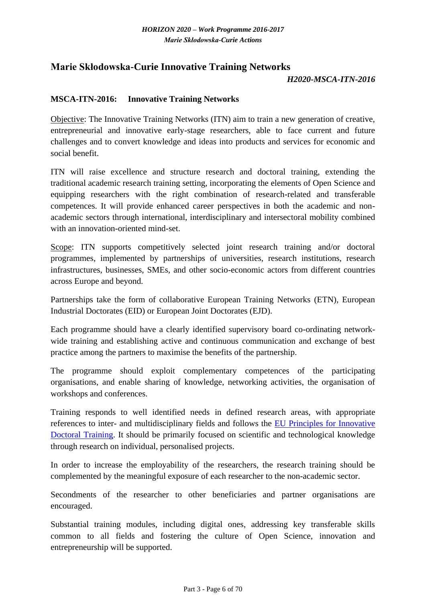# <span id="page-5-0"></span>**Marie Skłodowska-Curie Innovative Training Networks**

#### *H2020-MSCA-ITN-2016*

#### <span id="page-5-1"></span>**MSCA-ITN-2016: Innovative Training Networks**

Objective: The Innovative Training Networks (ITN) aim to train a new generation of creative, entrepreneurial and innovative early-stage researchers, able to face current and future challenges and to convert knowledge and ideas into products and services for economic and social benefit.

ITN will raise excellence and structure research and doctoral training, extending the traditional academic research training setting, incorporating the elements of Open Science and equipping researchers with the right combination of research-related and transferable competences. It will provide enhanced career perspectives in both the academic and nonacademic sectors through international, interdisciplinary and intersectoral mobility combined with an innovation-oriented mind-set.

Scope: ITN supports competitively selected joint research training and/or doctoral programmes, implemented by partnerships of universities, research institutions, research infrastructures, businesses, SMEs, and other socio-economic actors from different countries across Europe and beyond.

Partnerships take the form of collaborative European Training Networks (ETN), European Industrial Doctorates (EID) or European Joint Doctorates (EJD).

Each programme should have a clearly identified supervisory board co-ordinating networkwide training and establishing active and continuous communication and exchange of best practice among the partners to maximise the benefits of the partnership.

The programme should exploit complementary competences of the participating organisations, and enable sharing of knowledge, networking activities, the organisation of workshops and conferences.

Training responds to well identified needs in defined research areas, with appropriate references to inter- and multidisciplinary fields and follows the [EU Principles for Innovative](http://ec.europa.eu/euraxess/pdf/research_policies/Principles_for_Innovative_Doctoral_Training.pdf)  [Doctoral Training.](http://ec.europa.eu/euraxess/pdf/research_policies/Principles_for_Innovative_Doctoral_Training.pdf) It should be primarily focused on scientific and technological knowledge through research on individual, personalised projects.

In order to increase the employability of the researchers, the research training should be complemented by the meaningful exposure of each researcher to the non-academic sector.

Secondments of the researcher to other beneficiaries and partner organisations are encouraged.

Substantial training modules, including digital ones, addressing key transferable skills common to all fields and fostering the culture of Open Science, innovation and entrepreneurship will be supported.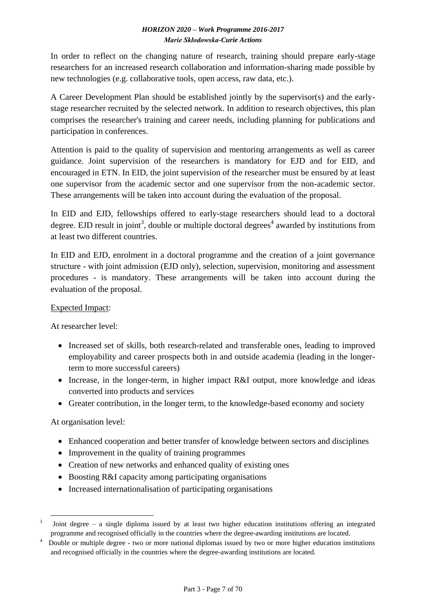In order to reflect on the changing nature of research, training should prepare early-stage researchers for an increased research collaboration and information-sharing made possible by new technologies (e.g. collaborative tools, open access, raw data, etc.).

A Career Development Plan should be established jointly by the supervisor(s) and the earlystage researcher recruited by the selected network. In addition to research objectives, this plan comprises the researcher's training and career needs, including planning for publications and participation in conferences.

Attention is paid to the quality of supervision and mentoring arrangements as well as career guidance. Joint supervision of the researchers is mandatory for EJD and for EID, and encouraged in ETN. In EID, the joint supervision of the researcher must be ensured by at least one supervisor from the academic sector and one supervisor from the non-academic sector. These arrangements will be taken into account during the evaluation of the proposal.

In EID and EJD, fellowships offered to early-stage researchers should lead to a doctoral degree. EJD result in joint<sup>3</sup>, double or multiple doctoral degrees<sup>4</sup> awarded by institutions from at least two different countries.

In EID and EJD, enrolment in a doctoral programme and the creation of a joint governance structure - with joint admission (EJD only), selection, supervision, monitoring and assessment procedures - is mandatory. These arrangements will be taken into account during the evaluation of the proposal.

# Expected Impact:

At researcher level:

- Increased set of skills, both research-related and transferable ones, leading to improved employability and career prospects both in and outside academia (leading in the longerterm to more successful careers)
- Increase, in the longer-term, in higher impact R&I output, more knowledge and ideas converted into products and services
- Greater contribution, in the longer term, to the knowledge-based economy and society

# At organisation level:

- Enhanced cooperation and better transfer of knowledge between sectors and disciplines
- Improvement in the quality of training programmes
- Creation of new networks and enhanced quality of existing ones
- Boosting R&I capacity among participating organisations
- Increased internationalisation of participating organisations

<sup>1</sup>  $3$  Joint degree – a single diploma issued by at least two higher education institutions offering an integrated programme and recognised officially in the countries where the degree-awarding institutions are located.

<sup>4</sup>Double or multiple degree - two or more national diplomas issued by two or more higher education institutions and recognised officially in the countries where the degree-awarding institutions are located.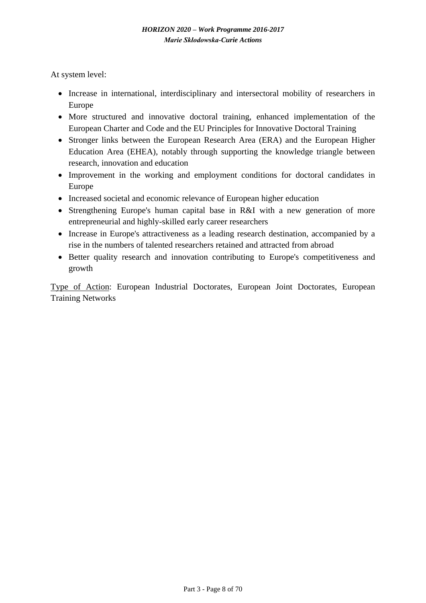At system level:

- Increase in international, interdisciplinary and intersectoral mobility of researchers in Europe
- More structured and innovative doctoral training, enhanced implementation of the European Charter and Code and the EU Principles for Innovative Doctoral Training
- Stronger links between the European Research Area (ERA) and the European Higher Education Area (EHEA), notably through supporting the knowledge triangle between research, innovation and education
- Improvement in the working and employment conditions for doctoral candidates in Europe
- Increased societal and economic relevance of European higher education
- Strengthening Europe's human capital base in R&I with a new generation of more entrepreneurial and highly-skilled early career researchers
- Increase in Europe's attractiveness as a leading research destination, accompanied by a rise in the numbers of talented researchers retained and attracted from abroad
- Better quality research and innovation contributing to Europe's competitiveness and growth

Type of Action: European Industrial Doctorates, European Joint Doctorates, European Training Networks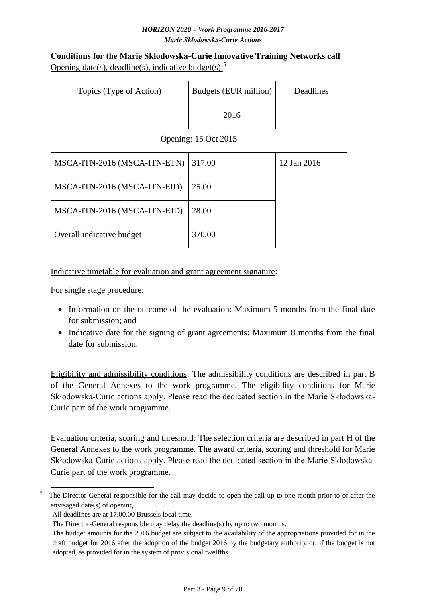<span id="page-8-0"></span>**Conditions for the Marie Skłodowska-Curie Innovative Training Networks call** Opening date(s), deadline(s), indicative budget(s): $5$ 

| Topics (Type of Action)      | Budgets (EUR million) | Deadlines   |  |  |  |  |  |  |  |  |
|------------------------------|-----------------------|-------------|--|--|--|--|--|--|--|--|
|                              | 2016                  |             |  |  |  |  |  |  |  |  |
| Opening: 15 Oct 2015         |                       |             |  |  |  |  |  |  |  |  |
| MSCA-ITN-2016 (MSCA-ITN-ETN) | 317.00                | 12 Jan 2016 |  |  |  |  |  |  |  |  |
| MSCA-ITN-2016 (MSCA-ITN-EID) | 25.00                 |             |  |  |  |  |  |  |  |  |
| MSCA-ITN-2016 (MSCA-ITN-EJD) | 28.00                 |             |  |  |  |  |  |  |  |  |
| Overall indicative budget    | 370.00                |             |  |  |  |  |  |  |  |  |

Indicative timetable for evaluation and grant agreement signature:

For single stage procedure:

- Information on the outcome of the evaluation: Maximum 5 months from the final date for submission; and
- Indicative date for the signing of grant agreements: Maximum 8 months from the final date for submission.

Eligibility and admissibility conditions: The admissibility conditions are described in part B of the General Annexes to the work programme. The eligibility conditions for Marie Skłodowska-Curie actions apply. Please read the dedicated section in the Marie Skłodowska-Curie part of the work programme.

Evaluation criteria, scoring and threshold: The selection criteria are described in part H of the General Annexes to the work programme. The award criteria, scoring and threshold for Marie Skłodowska-Curie actions apply. Please read the dedicated section in the Marie Skłodowska-Curie part of the work programme.

<sup>1</sup> <sup>5</sup> The Director-General responsible for the call may decide to open the call up to one month prior to or after the envisaged date(s) of opening.

All deadlines are at 17.00.00 Brussels local time.

The Director-General responsible may delay the deadline(s) by up to two months.

The budget amounts for the 2016 budget are subject to the availability of the appropriations provided for in the draft budget for 2016 after the adoption of the budget 2016 by the budgetary authority or, if the budget is not adopted, as provided for in the system of provisional twelfths.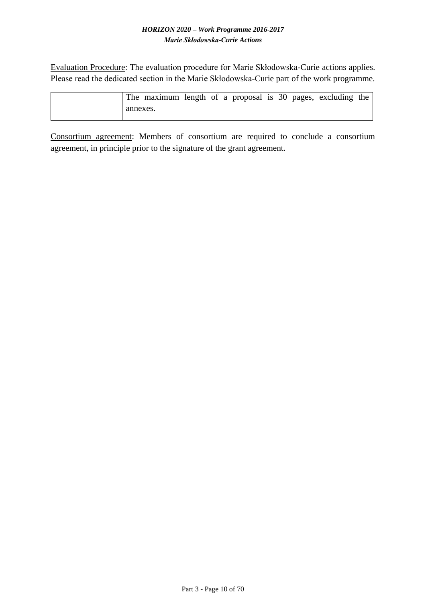Evaluation Procedure: The evaluation procedure for Marie Skłodowska-Curie actions applies. Please read the dedicated section in the Marie Skłodowska-Curie part of the work programme.

|          | The maximum length of a proposal is 30 pages, excluding the |  |  |  |  |  |
|----------|-------------------------------------------------------------|--|--|--|--|--|
| annexes. |                                                             |  |  |  |  |  |

Consortium agreement: Members of consortium are required to conclude a consortium agreement, in principle prior to the signature of the grant agreement.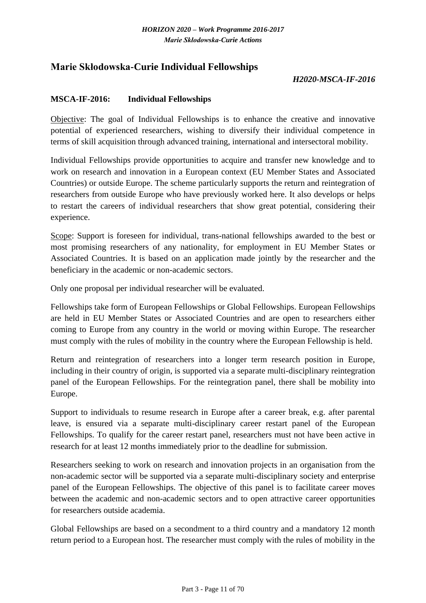# <span id="page-10-0"></span>**Marie Skłodowska-Curie Individual Fellowships**

### *H2020-MSCA-IF-2016*

#### <span id="page-10-1"></span>**MSCA-IF-2016: Individual Fellowships**

Objective: The goal of Individual Fellowships is to enhance the creative and innovative potential of experienced researchers, wishing to diversify their individual competence in terms of skill acquisition through advanced training, international and intersectoral mobility.

Individual Fellowships provide opportunities to acquire and transfer new knowledge and to work on research and innovation in a European context (EU Member States and Associated Countries) or outside Europe. The scheme particularly supports the return and reintegration of researchers from outside Europe who have previously worked here. It also develops or helps to restart the careers of individual researchers that show great potential, considering their experience.

Scope: Support is foreseen for individual, trans-national fellowships awarded to the best or most promising researchers of any nationality, for employment in EU Member States or Associated Countries. It is based on an application made jointly by the researcher and the beneficiary in the academic or non-academic sectors.

Only one proposal per individual researcher will be evaluated.

Fellowships take form of European Fellowships or Global Fellowships. European Fellowships are held in EU Member States or Associated Countries and are open to researchers either coming to Europe from any country in the world or moving within Europe. The researcher must comply with the rules of mobility in the country where the European Fellowship is held.

Return and reintegration of researchers into a longer term research position in Europe, including in their country of origin, is supported via a separate multi-disciplinary reintegration panel of the European Fellowships. For the reintegration panel, there shall be mobility into Europe.

Support to individuals to resume research in Europe after a career break, e.g. after parental leave, is ensured via a separate multi-disciplinary career restart panel of the European Fellowships. To qualify for the career restart panel, researchers must not have been active in research for at least 12 months immediately prior to the deadline for submission.

Researchers seeking to work on research and innovation projects in an organisation from the non-academic sector will be supported via a separate multi-disciplinary society and enterprise panel of the European Fellowships. The objective of this panel is to facilitate career moves between the academic and non-academic sectors and to open attractive career opportunities for researchers outside academia.

Global Fellowships are based on a secondment to a third country and a mandatory 12 month return period to a European host. The researcher must comply with the rules of mobility in the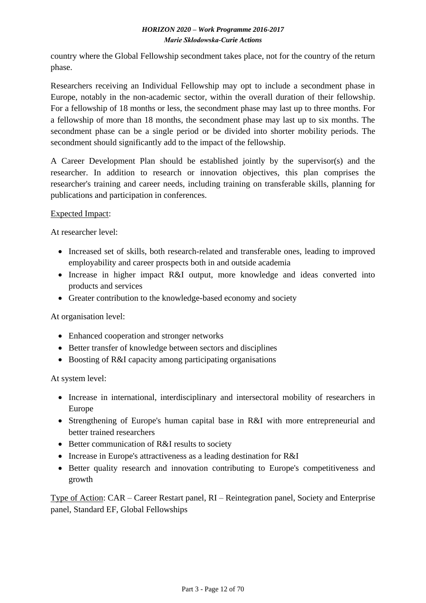country where the Global Fellowship secondment takes place, not for the country of the return phase.

Researchers receiving an Individual Fellowship may opt to include a secondment phase in Europe, notably in the non-academic sector, within the overall duration of their fellowship. For a fellowship of 18 months or less, the secondment phase may last up to three months. For a fellowship of more than 18 months, the secondment phase may last up to six months. The secondment phase can be a single period or be divided into shorter mobility periods. The secondment should significantly add to the impact of the fellowship.

A Career Development Plan should be established jointly by the supervisor(s) and the researcher. In addition to research or innovation objectives, this plan comprises the researcher's training and career needs, including training on transferable skills, planning for publications and participation in conferences.

### Expected Impact:

At researcher level:

- Increased set of skills, both research-related and transferable ones, leading to improved employability and career prospects both in and outside academia
- Increase in higher impact R&I output, more knowledge and ideas converted into products and services
- Greater contribution to the knowledge-based economy and society

At organisation level:

- Enhanced cooperation and stronger networks
- Better transfer of knowledge between sectors and disciplines
- Boosting of R&I capacity among participating organisations

At system level:

- Increase in international, interdisciplinary and intersectoral mobility of researchers in Europe
- Strengthening of Europe's human capital base in R&I with more entrepreneurial and better trained researchers
- Better communication of R&I results to society
- Increase in Europe's attractiveness as a leading destination for R&I
- Better quality research and innovation contributing to Europe's competitiveness and growth

Type of Action: CAR – Career Restart panel, RI – Reintegration panel, Society and Enterprise panel, Standard EF, Global Fellowships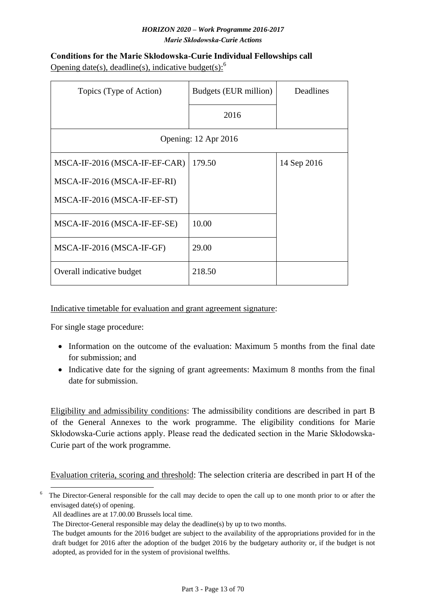# <span id="page-12-0"></span>**Conditions for the Marie Skłodowska-Curie Individual Fellowships call** Opening date(s), deadline(s), indicative budget(s): $<sup>6</sup>$ </sup>

| Topics (Type of Action)       | Budgets (EUR million) | Deadlines   |
|-------------------------------|-----------------------|-------------|
|                               | 2016                  |             |
| Opening: 12 Apr 2016          |                       |             |
| MSCA-IF-2016 (MSCA-IF-EF-CAR) | 179.50                | 14 Sep 2016 |
| MSCA-IF-2016 (MSCA-IF-EF-RI)  |                       |             |
| MSCA-IF-2016 (MSCA-IF-EF-ST)  |                       |             |
| MSCA-IF-2016 (MSCA-IF-EF-SE)  | 10.00                 |             |
| MSCA-IF-2016 (MSCA-IF-GF)     | 29.00                 |             |
| Overall indicative budget     | 218.50                |             |

# Indicative timetable for evaluation and grant agreement signature:

For single stage procedure:

- Information on the outcome of the evaluation: Maximum 5 months from the final date for submission; and
- Indicative date for the signing of grant agreements: Maximum 8 months from the final date for submission.

Eligibility and admissibility conditions: The admissibility conditions are described in part B of the General Annexes to the work programme. The eligibility conditions for Marie Skłodowska-Curie actions apply. Please read the dedicated section in the Marie Skłodowska-Curie part of the work programme.

Evaluation criteria, scoring and threshold: The selection criteria are described in part H of the

<sup>1</sup>  $6$  The Director-General responsible for the call may decide to open the call up to one month prior to or after the envisaged date(s) of opening.

All deadlines are at 17.00.00 Brussels local time.

The Director-General responsible may delay the deadline(s) by up to two months.

The budget amounts for the 2016 budget are subject to the availability of the appropriations provided for in the draft budget for 2016 after the adoption of the budget 2016 by the budgetary authority or, if the budget is not adopted, as provided for in the system of provisional twelfths.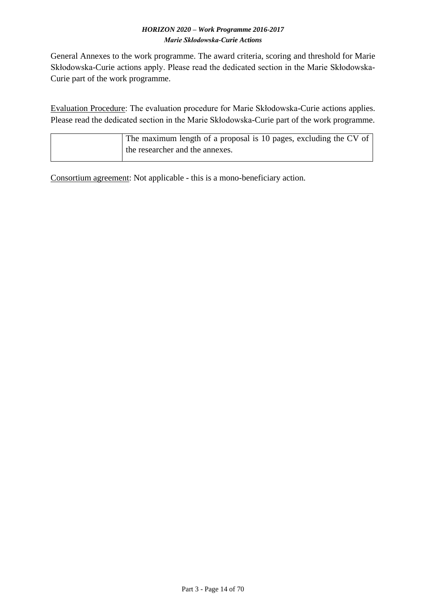General Annexes to the work programme. The award criteria, scoring and threshold for Marie Skłodowska-Curie actions apply. Please read the dedicated section in the Marie Skłodowska-Curie part of the work programme.

Evaluation Procedure: The evaluation procedure for Marie Skłodowska-Curie actions applies. Please read the dedicated section in the Marie Skłodowska-Curie part of the work programme.

| The maximum length of a proposal is 10 pages, excluding the CV of |
|-------------------------------------------------------------------|
| the researcher and the annexes.                                   |
|                                                                   |

Consortium agreement: Not applicable - this is a mono-beneficiary action.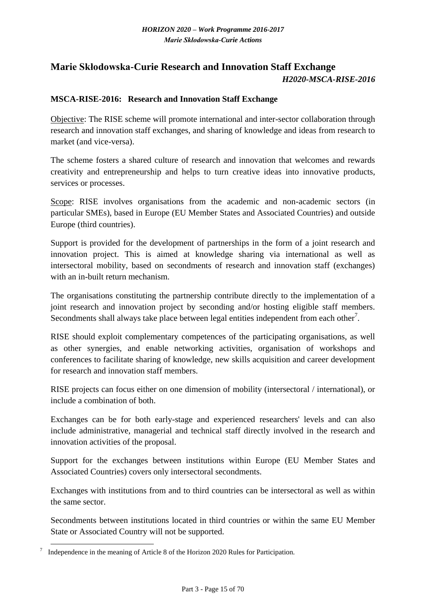# <span id="page-14-0"></span>**Marie Skłodowska-Curie Research and Innovation Staff Exchange** *H2020-MSCA-RISE-2016*

#### <span id="page-14-1"></span>**MSCA-RISE-2016: Research and Innovation Staff Exchange**

Objective: The RISE scheme will promote international and inter-sector collaboration through research and innovation staff exchanges, and sharing of knowledge and ideas from research to market (and vice-versa).

The scheme fosters a shared culture of research and innovation that welcomes and rewards creativity and entrepreneurship and helps to turn creative ideas into innovative products, services or processes.

Scope: RISE involves organisations from the academic and non-academic sectors (in particular SMEs), based in Europe (EU Member States and Associated Countries) and outside Europe (third countries).

Support is provided for the development of partnerships in the form of a joint research and innovation project. This is aimed at knowledge sharing via international as well as intersectoral mobility, based on secondments of research and innovation staff (exchanges) with an in-built return mechanism.

The organisations constituting the partnership contribute directly to the implementation of a joint research and innovation project by seconding and/or hosting eligible staff members. Secondments shall always take place between legal entities independent from each other<sup>7</sup>.

RISE should exploit complementary competences of the participating organisations, as well as other synergies, and enable networking activities, organisation of workshops and conferences to facilitate sharing of knowledge, new skills acquisition and career development for research and innovation staff members.

RISE projects can focus either on one dimension of mobility (intersectoral / international), or include a combination of both.

Exchanges can be for both early-stage and experienced researchers' levels and can also include administrative, managerial and technical staff directly involved in the research and innovation activities of the proposal.

Support for the exchanges between institutions within Europe (EU Member States and Associated Countries) covers only intersectoral secondments.

Exchanges with institutions from and to third countries can be intersectoral as well as within the same sector.

Secondments between institutions located in third countries or within the same EU Member State or Associated Country will not be supported.

<sup>1</sup> Independence in the meaning of Article 8 of the Horizon 2020 Rules for Participation.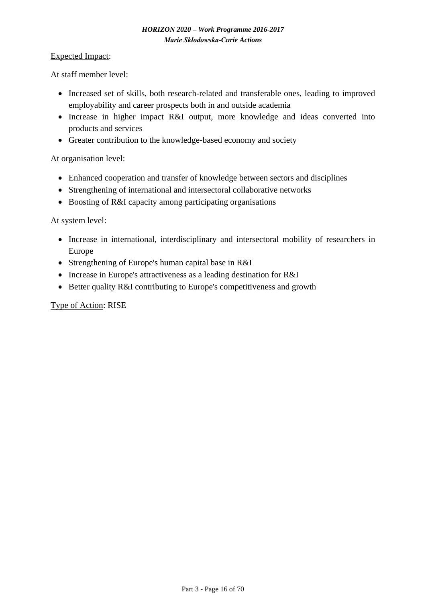#### Expected Impact:

At staff member level:

- Increased set of skills, both research-related and transferable ones, leading to improved employability and career prospects both in and outside academia
- Increase in higher impact R&I output, more knowledge and ideas converted into products and services
- Greater contribution to the knowledge-based economy and society

At organisation level:

- Enhanced cooperation and transfer of knowledge between sectors and disciplines
- Strengthening of international and intersectoral collaborative networks
- Boosting of R&I capacity among participating organisations

At system level:

- Increase in international, interdisciplinary and intersectoral mobility of researchers in Europe
- Strengthening of Europe's human capital base in R&I
- Increase in Europe's attractiveness as a leading destination for R&I
- Better quality R&I contributing to Europe's competitiveness and growth

Type of Action: RISE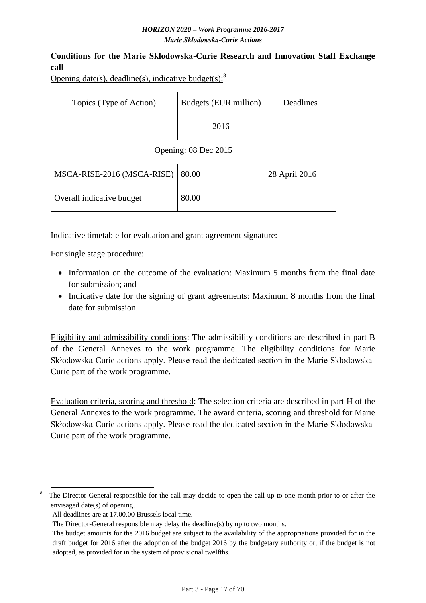# <span id="page-16-0"></span>**Conditions for the Marie Skłodowska-Curie Research and Innovation Staff Exchange call**

Opening date(s), deadline(s), indicative budget(s): $8$ 

| Topics (Type of Action)    | Budgets (EUR million) | <b>Deadlines</b> |  |  |  |  |  |  |  |  |
|----------------------------|-----------------------|------------------|--|--|--|--|--|--|--|--|
|                            | 2016                  |                  |  |  |  |  |  |  |  |  |
| Opening: 08 Dec 2015       |                       |                  |  |  |  |  |  |  |  |  |
| MSCA-RISE-2016 (MSCA-RISE) | 80.00                 | 28 April 2016    |  |  |  |  |  |  |  |  |
| Overall indicative budget  | 80.00                 |                  |  |  |  |  |  |  |  |  |

Indicative timetable for evaluation and grant agreement signature:

For single stage procedure:

- Information on the outcome of the evaluation: Maximum 5 months from the final date for submission; and
- Indicative date for the signing of grant agreements: Maximum 8 months from the final date for submission.

Eligibility and admissibility conditions: The admissibility conditions are described in part B of the General Annexes to the work programme. The eligibility conditions for Marie Skłodowska-Curie actions apply. Please read the dedicated section in the Marie Skłodowska-Curie part of the work programme.

Evaluation criteria, scoring and threshold: The selection criteria are described in part H of the General Annexes to the work programme. The award criteria, scoring and threshold for Marie Skłodowska-Curie actions apply. Please read the dedicated section in the Marie Skłodowska-Curie part of the work programme.

<sup>1</sup> The Director-General responsible for the call may decide to open the call up to one month prior to or after the envisaged date(s) of opening.

All deadlines are at 17.00.00 Brussels local time.

The Director-General responsible may delay the deadline(s) by up to two months.

The budget amounts for the 2016 budget are subject to the availability of the appropriations provided for in the draft budget for 2016 after the adoption of the budget 2016 by the budgetary authority or, if the budget is not adopted, as provided for in the system of provisional twelfths.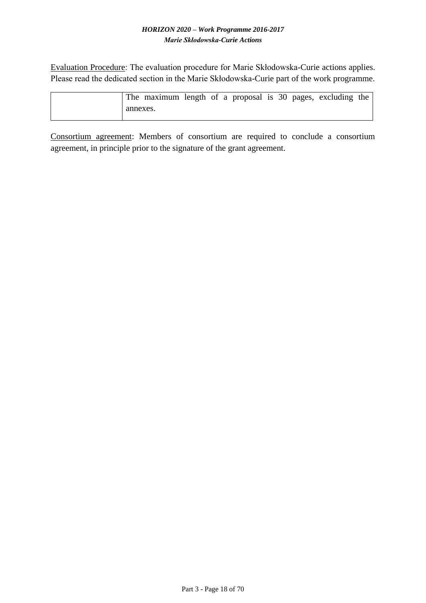Evaluation Procedure: The evaluation procedure for Marie Skłodowska-Curie actions applies. Please read the dedicated section in the Marie Skłodowska-Curie part of the work programme.

|          | The maximum length of a proposal is 30 pages, excluding the |  |  |  |  |  |
|----------|-------------------------------------------------------------|--|--|--|--|--|
| annexes. |                                                             |  |  |  |  |  |

Consortium agreement: Members of consortium are required to conclude a consortium agreement, in principle prior to the signature of the grant agreement.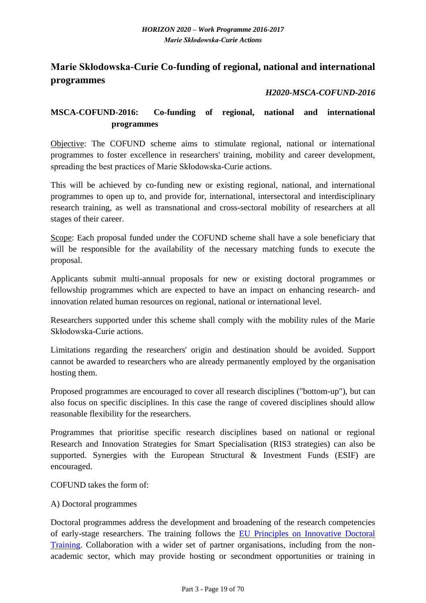# <span id="page-18-0"></span>**Marie Skłodowska-Curie Co-funding of regional, national and international programmes**

# *H2020-MSCA-COFUND-2016*

# <span id="page-18-1"></span>**MSCA-COFUND-2016: Co-funding of regional, national and international programmes**

Objective: The COFUND scheme aims to stimulate regional, national or international programmes to foster excellence in researchers' training, mobility and career development, spreading the best practices of Marie Skłodowska-Curie actions.

This will be achieved by co-funding new or existing regional, national, and international programmes to open up to, and provide for, international, intersectoral and interdisciplinary research training, as well as transnational and cross-sectoral mobility of researchers at all stages of their career.

Scope: Each proposal funded under the COFUND scheme shall have a sole beneficiary that will be responsible for the availability of the necessary matching funds to execute the proposal.

Applicants submit multi-annual proposals for new or existing doctoral programmes or fellowship programmes which are expected to have an impact on enhancing research- and innovation related human resources on regional, national or international level.

Researchers supported under this scheme shall comply with the mobility rules of the Marie Skłodowska-Curie actions.

Limitations regarding the researchers' origin and destination should be avoided. Support cannot be awarded to researchers who are already permanently employed by the organisation hosting them.

Proposed programmes are encouraged to cover all research disciplines ("bottom-up"), but can also focus on specific disciplines. In this case the range of covered disciplines should allow reasonable flexibility for the researchers.

Programmes that prioritise specific research disciplines based on national or regional Research and Innovation Strategies for Smart Specialisation (RIS3 strategies) can also be supported. Synergies with the European Structural & Investment Funds (ESIF) are encouraged.

COFUND takes the form of:

#### A) Doctoral programmes

Doctoral programmes address the development and broadening of the research competencies of early-stage researchers. The training follows the [EU Principles on Innovative Doctoral](http://ec.europa.eu/euraxess/pdf/research_policies/Principles_for_Innovative_Doctoral_Training.pdf)  [Training.](http://ec.europa.eu/euraxess/pdf/research_policies/Principles_for_Innovative_Doctoral_Training.pdf) Collaboration with a wider set of partner organisations, including from the nonacademic sector, which may provide hosting or secondment opportunities or training in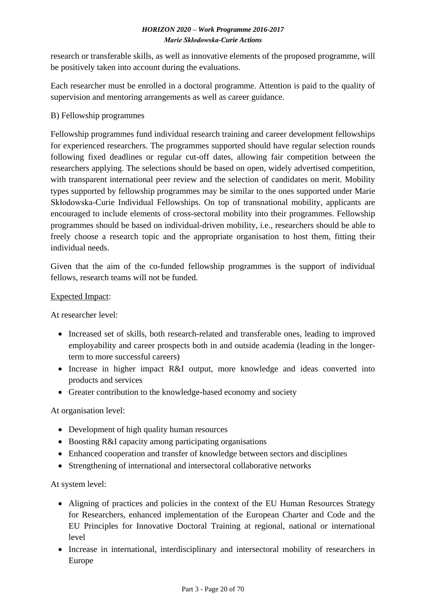research or transferable skills, as well as innovative elements of the proposed programme, will be positively taken into account during the evaluations.

Each researcher must be enrolled in a doctoral programme. Attention is paid to the quality of supervision and mentoring arrangements as well as career guidance.

# B) Fellowship programmes

Fellowship programmes fund individual research training and career development fellowships for experienced researchers. The programmes supported should have regular selection rounds following fixed deadlines or regular cut-off dates, allowing fair competition between the researchers applying. The selections should be based on open, widely advertised competition, with transparent international peer review and the selection of candidates on merit. Mobility types supported by fellowship programmes may be similar to the ones supported under Marie Skłodowska-Curie Individual Fellowships. On top of transnational mobility, applicants are encouraged to include elements of cross-sectoral mobility into their programmes. Fellowship programmes should be based on individual-driven mobility, i.e., researchers should be able to freely choose a research topic and the appropriate organisation to host them, fitting their individual needs.

Given that the aim of the co-funded fellowship programmes is the support of individual fellows, research teams will not be funded.

### Expected Impact:

At researcher level:

- Increased set of skills, both research-related and transferable ones, leading to improved employability and career prospects both in and outside academia (leading in the longerterm to more successful careers)
- Increase in higher impact R&I output, more knowledge and ideas converted into products and services
- Greater contribution to the knowledge-based economy and society

# At organisation level:

- Development of high quality human resources
- Boosting R&I capacity among participating organisations
- Enhanced cooperation and transfer of knowledge between sectors and disciplines
- Strengthening of international and intersectoral collaborative networks

### At system level:

- Aligning of practices and policies in the context of the EU Human Resources Strategy for Researchers, enhanced implementation of the European Charter and Code and the EU Principles for Innovative Doctoral Training at regional, national or international level
- Increase in international, interdisciplinary and intersectoral mobility of researchers in Europe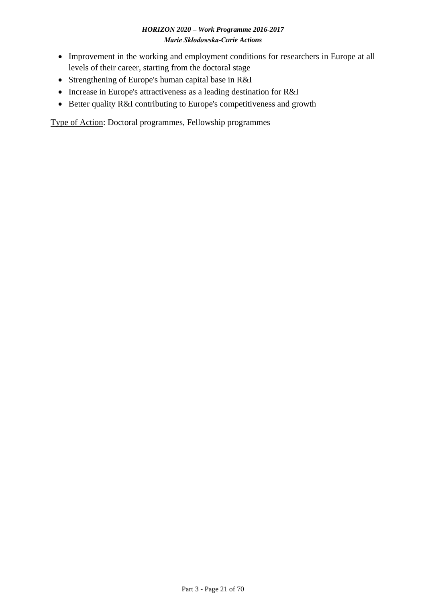- Improvement in the working and employment conditions for researchers in Europe at all levels of their career, starting from the doctoral stage
- Strengthening of Europe's human capital base in R&I
- Increase in Europe's attractiveness as a leading destination for R&I
- Better quality R&I contributing to Europe's competitiveness and growth

Type of Action: Doctoral programmes, Fellowship programmes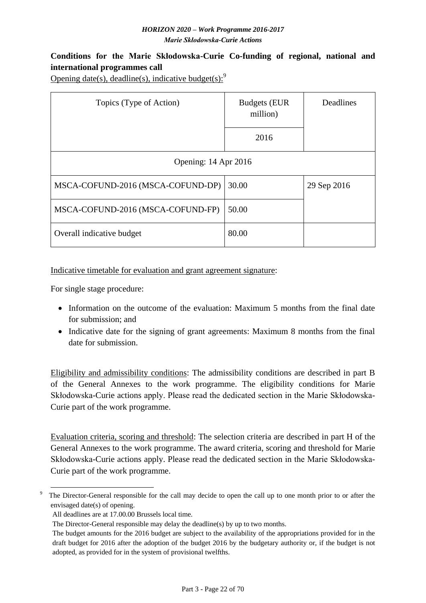# <span id="page-21-0"></span>**Conditions for the Marie Skłodowska-Curie Co-funding of regional, national and international programmes call**

Opening date(s), deadline(s), indicative budget(s): $9$ 

| Topics (Type of Action)           | <b>Budgets (EUR)</b><br>million)<br>2016 | Deadlines   |  |  |  |  |  |  |  |
|-----------------------------------|------------------------------------------|-------------|--|--|--|--|--|--|--|
| Opening: 14 Apr 2016              |                                          |             |  |  |  |  |  |  |  |
| MSCA-COFUND-2016 (MSCA-COFUND-DP) | 30.00                                    | 29 Sep 2016 |  |  |  |  |  |  |  |
| MSCA-COFUND-2016 (MSCA-COFUND-FP) | 50.00                                    |             |  |  |  |  |  |  |  |
| Overall indicative budget         | 80.00                                    |             |  |  |  |  |  |  |  |

#### Indicative timetable for evaluation and grant agreement signature:

For single stage procedure:

- Information on the outcome of the evaluation: Maximum 5 months from the final date for submission; and
- Indicative date for the signing of grant agreements: Maximum 8 months from the final date for submission.

Eligibility and admissibility conditions: The admissibility conditions are described in part B of the General Annexes to the work programme. The eligibility conditions for Marie Skłodowska-Curie actions apply. Please read the dedicated section in the Marie Skłodowska-Curie part of the work programme.

Evaluation criteria, scoring and threshold: The selection criteria are described in part H of the General Annexes to the work programme. The award criteria, scoring and threshold for Marie Skłodowska-Curie actions apply. Please read the dedicated section in the Marie Skłodowska-Curie part of the work programme.

<sup>1</sup> The Director-General responsible for the call may decide to open the call up to one month prior to or after the envisaged date(s) of opening.

All deadlines are at 17.00.00 Brussels local time.

The Director-General responsible may delay the deadline(s) by up to two months.

The budget amounts for the 2016 budget are subject to the availability of the appropriations provided for in the draft budget for 2016 after the adoption of the budget 2016 by the budgetary authority or, if the budget is not adopted, as provided for in the system of provisional twelfths.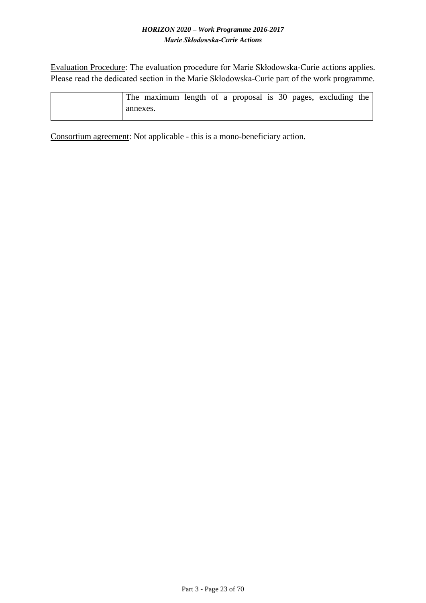Evaluation Procedure: The evaluation procedure for Marie Skłodowska-Curie actions applies. Please read the dedicated section in the Marie Skłodowska-Curie part of the work programme.

|          | The maximum length of a proposal is 30 pages, excluding the |  |  |  |  |  |
|----------|-------------------------------------------------------------|--|--|--|--|--|
| annexes. |                                                             |  |  |  |  |  |

Consortium agreement: Not applicable - this is a mono-beneficiary action.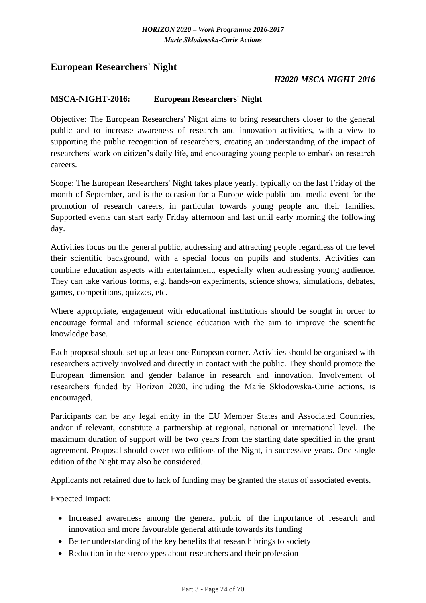# <span id="page-23-0"></span>**European Researchers' Night**

#### *H2020-MSCA-NIGHT-2016*

#### <span id="page-23-1"></span>**MSCA-NIGHT-2016: European Researchers' Night**

Objective: The European Researchers' Night aims to bring researchers closer to the general public and to increase awareness of research and innovation activities, with a view to supporting the public recognition of researchers, creating an understanding of the impact of researchers' work on citizen's daily life, and encouraging young people to embark on research careers.

Scope: The European Researchers' Night takes place yearly, typically on the last Friday of the month of September, and is the occasion for a Europe-wide public and media event for the promotion of research careers, in particular towards young people and their families. Supported events can start early Friday afternoon and last until early morning the following day.

Activities focus on the general public, addressing and attracting people regardless of the level their scientific background, with a special focus on pupils and students. Activities can combine education aspects with entertainment, especially when addressing young audience. They can take various forms, e.g. hands-on experiments, science shows, simulations, debates, games, competitions, quizzes, etc.

Where appropriate, engagement with educational institutions should be sought in order to encourage formal and informal science education with the aim to improve the scientific knowledge base.

Each proposal should set up at least one European corner. Activities should be organised with researchers actively involved and directly in contact with the public. They should promote the European dimension and gender balance in research and innovation. Involvement of researchers funded by Horizon 2020, including the Marie Skłodowska-Curie actions, is encouraged.

Participants can be any legal entity in the EU Member States and Associated Countries, and/or if relevant, constitute a partnership at regional, national or international level. The maximum duration of support will be two years from the starting date specified in the grant agreement. Proposal should cover two editions of the Night, in successive years. One single edition of the Night may also be considered.

Applicants not retained due to lack of funding may be granted the status of associated events.

#### Expected Impact:

- Increased awareness among the general public of the importance of research and innovation and more favourable general attitude towards its funding
- Better understanding of the key benefits that research brings to society
- Reduction in the stereotypes about researchers and their profession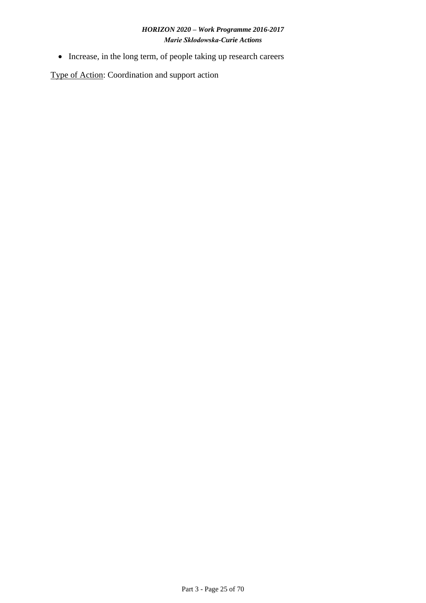• Increase, in the long term, of people taking up research careers

Type of Action: Coordination and support action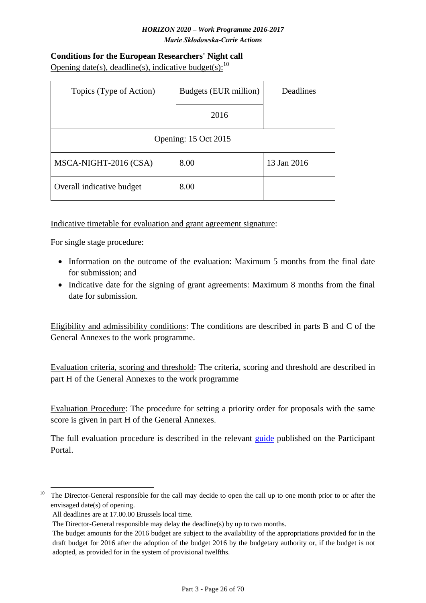# <span id="page-25-0"></span>**Conditions for the European Researchers' Night call** Opening date(s), deadline(s), indicative budget(s):  $10$

| Topics (Type of Action)   | Budgets (EUR million) | Deadlines   |  |  |  |  |  |  |  |  |
|---------------------------|-----------------------|-------------|--|--|--|--|--|--|--|--|
|                           |                       |             |  |  |  |  |  |  |  |  |
|                           | 2016                  |             |  |  |  |  |  |  |  |  |
|                           |                       |             |  |  |  |  |  |  |  |  |
| Opening: 15 Oct 2015      |                       |             |  |  |  |  |  |  |  |  |
| MSCA-NIGHT-2016 (CSA)     | 8.00                  | 13 Jan 2016 |  |  |  |  |  |  |  |  |
| Overall indicative budget | 8.00                  |             |  |  |  |  |  |  |  |  |

# Indicative timetable for evaluation and grant agreement signature:

For single stage procedure:

- Information on the outcome of the evaluation: Maximum 5 months from the final date for submission; and
- Indicative date for the signing of grant agreements: Maximum 8 months from the final date for submission.

Eligibility and admissibility conditions: The conditions are described in parts B and C of the General Annexes to the work programme.

Evaluation criteria, scoring and threshold: The criteria, scoring and threshold are described in part H of the General Annexes to the work programme

Evaluation Procedure: The procedure for setting a priority order for proposals with the same score is given in part H of the General Annexes.

The full evaluation procedure is described in the relevant [guide](http://ec.europa.eu/research/participants/data/ref/h2020/grants_manual/pse/h2020-guide-pse_en.pdf) published on the Participant Portal.

1

<sup>&</sup>lt;sup>10</sup> The Director-General responsible for the call may decide to open the call up to one month prior to or after the envisaged date(s) of opening.

All deadlines are at 17.00.00 Brussels local time.

The Director-General responsible may delay the deadline(s) by up to two months.

The budget amounts for the 2016 budget are subject to the availability of the appropriations provided for in the draft budget for 2016 after the adoption of the budget 2016 by the budgetary authority or, if the budget is not adopted, as provided for in the system of provisional twelfths.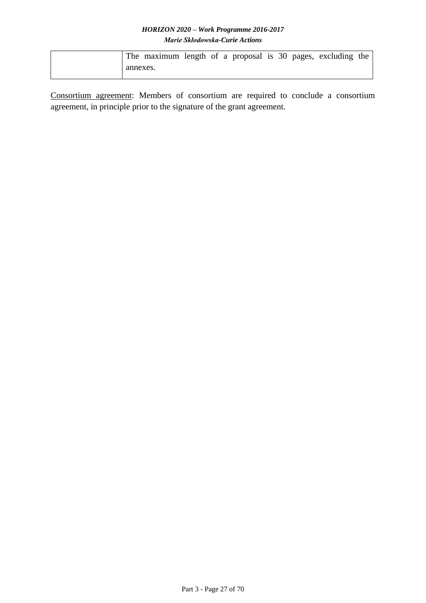|          | The maximum length of a proposal is 30 pages, excluding the |  |  |  |  |  |
|----------|-------------------------------------------------------------|--|--|--|--|--|
| annexes. |                                                             |  |  |  |  |  |

Consortium agreement: Members of consortium are required to conclude a consortium agreement, in principle prior to the signature of the grant agreement.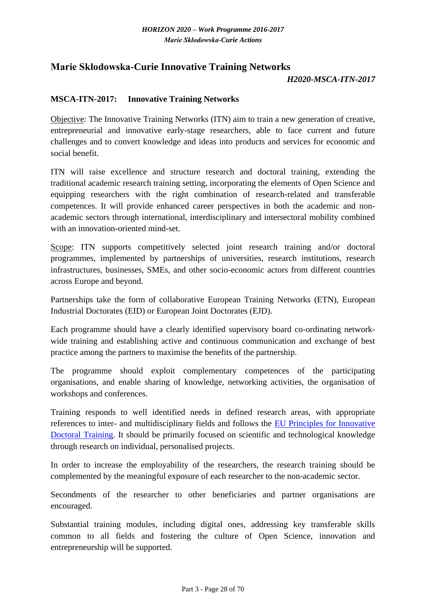# <span id="page-27-0"></span>**Marie Skłodowska-Curie Innovative Training Networks**

#### *H2020-MSCA-ITN-2017*

#### <span id="page-27-1"></span>**MSCA-ITN-2017: Innovative Training Networks**

Objective: The Innovative Training Networks (ITN) aim to train a new generation of creative, entrepreneurial and innovative early-stage researchers, able to face current and future challenges and to convert knowledge and ideas into products and services for economic and social benefit.

ITN will raise excellence and structure research and doctoral training, extending the traditional academic research training setting, incorporating the elements of Open Science and equipping researchers with the right combination of research-related and transferable competences. It will provide enhanced career perspectives in both the academic and nonacademic sectors through international, interdisciplinary and intersectoral mobility combined with an innovation-oriented mind-set.

Scope: ITN supports competitively selected joint research training and/or doctoral programmes, implemented by partnerships of universities, research institutions, research infrastructures, businesses, SMEs, and other socio-economic actors from different countries across Europe and beyond.

Partnerships take the form of collaborative European Training Networks (ETN), European Industrial Doctorates (EID) or European Joint Doctorates (EJD).

Each programme should have a clearly identified supervisory board co-ordinating networkwide training and establishing active and continuous communication and exchange of best practice among the partners to maximise the benefits of the partnership.

The programme should exploit complementary competences of the participating organisations, and enable sharing of knowledge, networking activities, the organisation of workshops and conferences.

Training responds to well identified needs in defined research areas, with appropriate references to inter- and multidisciplinary fields and follows the [EU Principles for Innovative](http://ec.europa.eu/euraxess/pdf/research_policies/Principles_for_Innovative_Doctoral_Training.pdf)  [Doctoral Training.](http://ec.europa.eu/euraxess/pdf/research_policies/Principles_for_Innovative_Doctoral_Training.pdf) It should be primarily focused on scientific and technological knowledge through research on individual, personalised projects.

In order to increase the employability of the researchers, the research training should be complemented by the meaningful exposure of each researcher to the non-academic sector.

Secondments of the researcher to other beneficiaries and partner organisations are encouraged.

Substantial training modules, including digital ones, addressing key transferable skills common to all fields and fostering the culture of Open Science, innovation and entrepreneurship will be supported.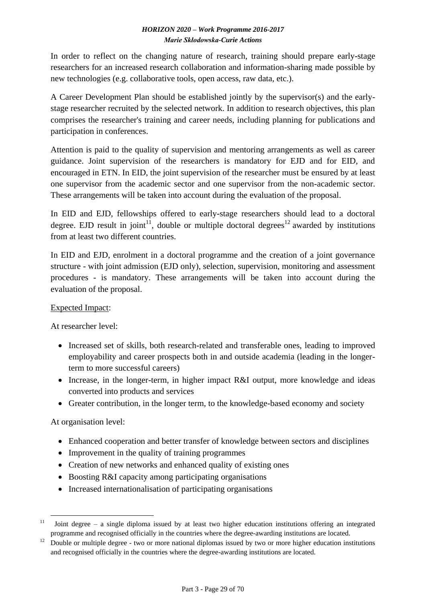In order to reflect on the changing nature of research, training should prepare early-stage researchers for an increased research collaboration and information-sharing made possible by new technologies (e.g. collaborative tools, open access, raw data, etc.).

A Career Development Plan should be established jointly by the supervisor(s) and the earlystage researcher recruited by the selected network. In addition to research objectives, this plan comprises the researcher's training and career needs, including planning for publications and participation in conferences.

Attention is paid to the quality of supervision and mentoring arrangements as well as career guidance. Joint supervision of the researchers is mandatory for EJD and for EID, and encouraged in ETN. In EID, the joint supervision of the researcher must be ensured by at least one supervisor from the academic sector and one supervisor from the non-academic sector. These arrangements will be taken into account during the evaluation of the proposal.

In EID and EJD, fellowships offered to early-stage researchers should lead to a doctoral degree. EJD result in joint<sup>11</sup>, double or multiple doctoral degrees<sup>12</sup> awarded by institutions from at least two different countries.

In EID and EJD, enrolment in a doctoral programme and the creation of a joint governance structure - with joint admission (EJD only), selection, supervision, monitoring and assessment procedures - is mandatory. These arrangements will be taken into account during the evaluation of the proposal.

# Expected Impact:

At researcher level:

- Increased set of skills, both research-related and transferable ones, leading to improved employability and career prospects both in and outside academia (leading in the longerterm to more successful careers)
- Increase, in the longer-term, in higher impact R&I output, more knowledge and ideas converted into products and services
- Greater contribution, in the longer term, to the knowledge-based economy and society

# At organisation level:

- Enhanced cooperation and better transfer of knowledge between sectors and disciplines
- Improvement in the quality of training programmes
- Creation of new networks and enhanced quality of existing ones
- Boosting R&I capacity among participating organisations
- Increased internationalisation of participating organisations

<sup>1</sup> <sup>11</sup> Joint degree – a single diploma issued by at least two higher education institutions offering an integrated programme and recognised officially in the countries where the degree-awarding institutions are located.

<sup>&</sup>lt;sup>12</sup> Double or multiple degree - two or more national diplomas issued by two or more higher education institutions and recognised officially in the countries where the degree-awarding institutions are located.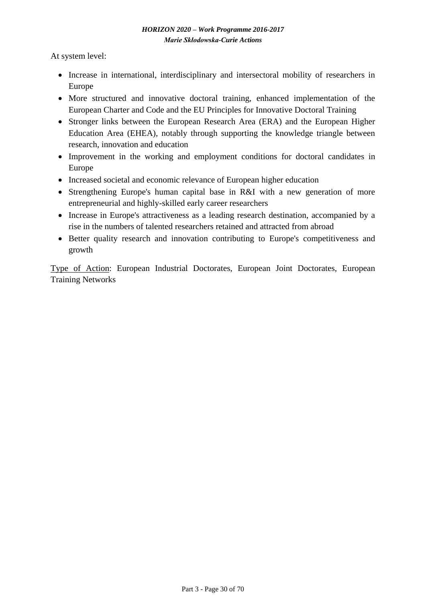At system level:

- Increase in international, interdisciplinary and intersectoral mobility of researchers in Europe
- More structured and innovative doctoral training, enhanced implementation of the European Charter and Code and the EU Principles for Innovative Doctoral Training
- Stronger links between the European Research Area (ERA) and the European Higher Education Area (EHEA), notably through supporting the knowledge triangle between research, innovation and education
- Improvement in the working and employment conditions for doctoral candidates in Europe
- Increased societal and economic relevance of European higher education
- Strengthening Europe's human capital base in R&I with a new generation of more entrepreneurial and highly-skilled early career researchers
- Increase in Europe's attractiveness as a leading research destination, accompanied by a rise in the numbers of talented researchers retained and attracted from abroad
- Better quality research and innovation contributing to Europe's competitiveness and growth

Type of Action: European Industrial Doctorates, European Joint Doctorates, European Training Networks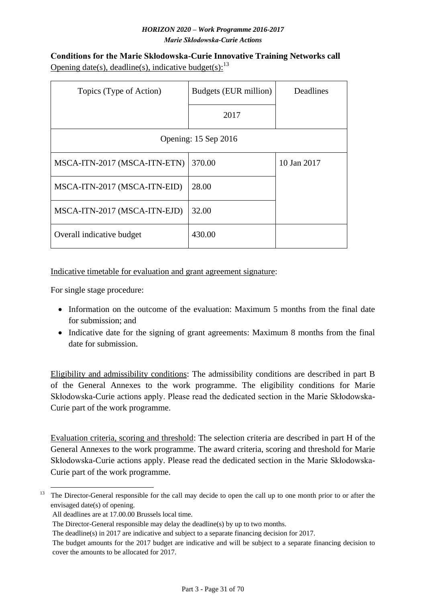<span id="page-30-0"></span>**Conditions for the Marie Skłodowska-Curie Innovative Training Networks call** Opening date(s), deadline(s), indicative budget(s):  $^{13}$ 

| Topics (Type of Action)      | Budgets (EUR million) | Deadlines   |  |  |  |  |  |  |
|------------------------------|-----------------------|-------------|--|--|--|--|--|--|
|                              | 2017                  |             |  |  |  |  |  |  |
| Opening: 15 Sep 2016         |                       |             |  |  |  |  |  |  |
| MSCA-ITN-2017 (MSCA-ITN-ETN) | 370.00                | 10 Jan 2017 |  |  |  |  |  |  |
| MSCA-ITN-2017 (MSCA-ITN-EID) | 28.00                 |             |  |  |  |  |  |  |
| MSCA-ITN-2017 (MSCA-ITN-EJD) | 32.00                 |             |  |  |  |  |  |  |
| Overall indicative budget    | 430.00                |             |  |  |  |  |  |  |

Indicative timetable for evaluation and grant agreement signature:

For single stage procedure:

- Information on the outcome of the evaluation: Maximum 5 months from the final date for submission; and
- Indicative date for the signing of grant agreements: Maximum 8 months from the final date for submission.

Eligibility and admissibility conditions: The admissibility conditions are described in part B of the General Annexes to the work programme. The eligibility conditions for Marie Skłodowska-Curie actions apply. Please read the dedicated section in the Marie Skłodowska-Curie part of the work programme.

Evaluation criteria, scoring and threshold: The selection criteria are described in part H of the General Annexes to the work programme. The award criteria, scoring and threshold for Marie Skłodowska-Curie actions apply. Please read the dedicated section in the Marie Skłodowska-Curie part of the work programme.

<sup>1</sup> <sup>13</sup> The Director-General responsible for the call may decide to open the call up to one month prior to or after the envisaged date(s) of opening.

All deadlines are at 17.00.00 Brussels local time.

The Director-General responsible may delay the deadline(s) by up to two months.

The deadline(s) in 2017 are indicative and subject to a separate financing decision for 2017.

The budget amounts for the 2017 budget are indicative and will be subject to a separate financing decision to cover the amounts to be allocated for 2017.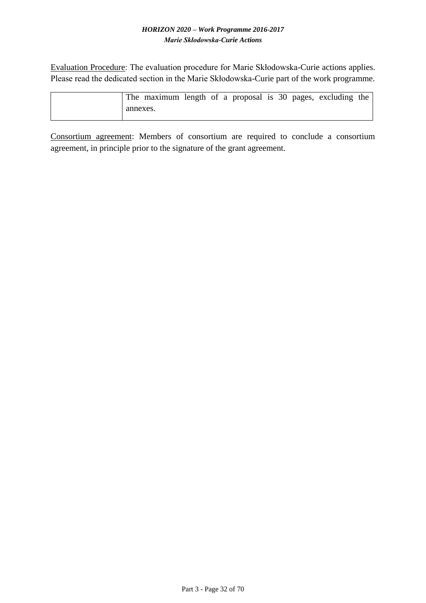Evaluation Procedure: The evaluation procedure for Marie Skłodowska-Curie actions applies. Please read the dedicated section in the Marie Skłodowska-Curie part of the work programme.

|          | The maximum length of a proposal is 30 pages, excluding the |  |  |  |  |  |
|----------|-------------------------------------------------------------|--|--|--|--|--|
| annexes. |                                                             |  |  |  |  |  |

Consortium agreement: Members of consortium are required to conclude a consortium agreement, in principle prior to the signature of the grant agreement.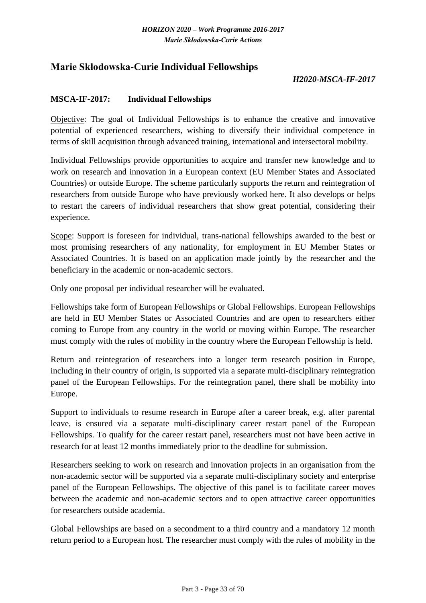# <span id="page-32-0"></span>**Marie Skłodowska-Curie Individual Fellowships**

### *H2020-MSCA-IF-2017*

#### <span id="page-32-1"></span>**MSCA-IF-2017: Individual Fellowships**

Objective: The goal of Individual Fellowships is to enhance the creative and innovative potential of experienced researchers, wishing to diversify their individual competence in terms of skill acquisition through advanced training, international and intersectoral mobility.

Individual Fellowships provide opportunities to acquire and transfer new knowledge and to work on research and innovation in a European context (EU Member States and Associated Countries) or outside Europe. The scheme particularly supports the return and reintegration of researchers from outside Europe who have previously worked here. It also develops or helps to restart the careers of individual researchers that show great potential, considering their experience.

Scope: Support is foreseen for individual, trans-national fellowships awarded to the best or most promising researchers of any nationality, for employment in EU Member States or Associated Countries. It is based on an application made jointly by the researcher and the beneficiary in the academic or non-academic sectors.

Only one proposal per individual researcher will be evaluated.

Fellowships take form of European Fellowships or Global Fellowships. European Fellowships are held in EU Member States or Associated Countries and are open to researchers either coming to Europe from any country in the world or moving within Europe. The researcher must comply with the rules of mobility in the country where the European Fellowship is held.

Return and reintegration of researchers into a longer term research position in Europe, including in their country of origin, is supported via a separate multi-disciplinary reintegration panel of the European Fellowships. For the reintegration panel, there shall be mobility into Europe.

Support to individuals to resume research in Europe after a career break, e.g. after parental leave, is ensured via a separate multi-disciplinary career restart panel of the European Fellowships. To qualify for the career restart panel, researchers must not have been active in research for at least 12 months immediately prior to the deadline for submission.

Researchers seeking to work on research and innovation projects in an organisation from the non-academic sector will be supported via a separate multi-disciplinary society and enterprise panel of the European Fellowships. The objective of this panel is to facilitate career moves between the academic and non-academic sectors and to open attractive career opportunities for researchers outside academia.

Global Fellowships are based on a secondment to a third country and a mandatory 12 month return period to a European host. The researcher must comply with the rules of mobility in the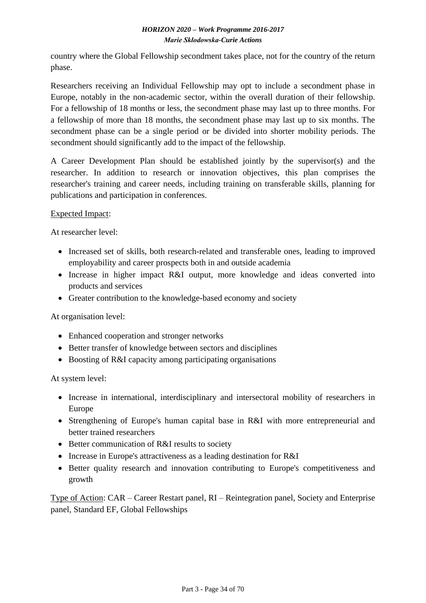country where the Global Fellowship secondment takes place, not for the country of the return phase.

Researchers receiving an Individual Fellowship may opt to include a secondment phase in Europe, notably in the non-academic sector, within the overall duration of their fellowship. For a fellowship of 18 months or less, the secondment phase may last up to three months. For a fellowship of more than 18 months, the secondment phase may last up to six months. The secondment phase can be a single period or be divided into shorter mobility periods. The secondment should significantly add to the impact of the fellowship.

A Career Development Plan should be established jointly by the supervisor(s) and the researcher. In addition to research or innovation objectives, this plan comprises the researcher's training and career needs, including training on transferable skills, planning for publications and participation in conferences.

### Expected Impact:

At researcher level:

- Increased set of skills, both research-related and transferable ones, leading to improved employability and career prospects both in and outside academia
- Increase in higher impact R&I output, more knowledge and ideas converted into products and services
- Greater contribution to the knowledge-based economy and society

At organisation level:

- Enhanced cooperation and stronger networks
- Better transfer of knowledge between sectors and disciplines
- Boosting of R&I capacity among participating organisations

At system level:

- Increase in international, interdisciplinary and intersectoral mobility of researchers in Europe
- Strengthening of Europe's human capital base in R&I with more entrepreneurial and better trained researchers
- Better communication of R&I results to society
- Increase in Europe's attractiveness as a leading destination for R&I
- Better quality research and innovation contributing to Europe's competitiveness and growth

Type of Action: CAR – Career Restart panel, RI – Reintegration panel, Society and Enterprise panel, Standard EF, Global Fellowships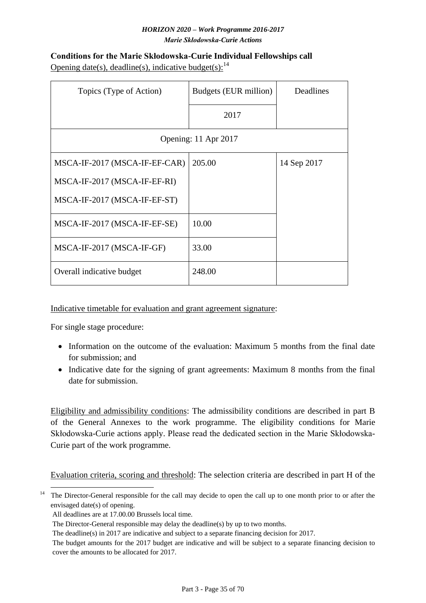<span id="page-34-0"></span>

| <b>Conditions for the Marie Skłodowska-Curie Individual Fellowships call</b> |
|------------------------------------------------------------------------------|
| Opening date(s), deadline(s), indicative budget(s): $14$                     |

| Topics (Type of Action)       | Budgets (EUR million) | Deadlines   |  |  |  |  |  |
|-------------------------------|-----------------------|-------------|--|--|--|--|--|
|                               | 2017                  |             |  |  |  |  |  |
| Opening: 11 Apr 2017          |                       |             |  |  |  |  |  |
| MSCA-IF-2017 (MSCA-IF-EF-CAR) | 205.00                | 14 Sep 2017 |  |  |  |  |  |
| MSCA-IF-2017 (MSCA-IF-EF-RI)  |                       |             |  |  |  |  |  |
| MSCA-IF-2017 (MSCA-IF-EF-ST)  |                       |             |  |  |  |  |  |
| MSCA-IF-2017 (MSCA-IF-EF-SE)  | 10.00                 |             |  |  |  |  |  |
| MSCA-IF-2017 (MSCA-IF-GF)     | 33.00                 |             |  |  |  |  |  |
| Overall indicative budget     | 248.00                |             |  |  |  |  |  |

### Indicative timetable for evaluation and grant agreement signature:

For single stage procedure:

- Information on the outcome of the evaluation: Maximum 5 months from the final date for submission; and
- Indicative date for the signing of grant agreements: Maximum 8 months from the final date for submission.

Eligibility and admissibility conditions: The admissibility conditions are described in part B of the General Annexes to the work programme. The eligibility conditions for Marie Skłodowska-Curie actions apply. Please read the dedicated section in the Marie Skłodowska-Curie part of the work programme.

Evaluation criteria, scoring and threshold: The selection criteria are described in part H of the

<sup>1</sup>  $14$  The Director-General responsible for the call may decide to open the call up to one month prior to or after the envisaged date(s) of opening.

All deadlines are at 17.00.00 Brussels local time.

The Director-General responsible may delay the deadline(s) by up to two months.

The deadline(s) in 2017 are indicative and subject to a separate financing decision for 2017.

The budget amounts for the 2017 budget are indicative and will be subject to a separate financing decision to cover the amounts to be allocated for 2017.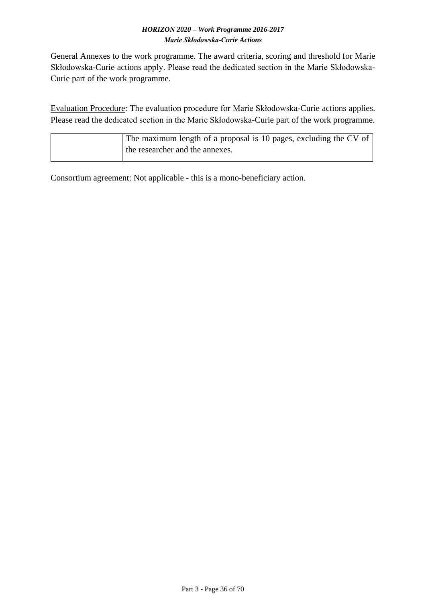General Annexes to the work programme. The award criteria, scoring and threshold for Marie Skłodowska-Curie actions apply. Please read the dedicated section in the Marie Skłodowska-Curie part of the work programme.

Evaluation Procedure: The evaluation procedure for Marie Skłodowska-Curie actions applies. Please read the dedicated section in the Marie Skłodowska-Curie part of the work programme.

| The maximum length of a proposal is 10 pages, excluding the CV of |
|-------------------------------------------------------------------|
| the researcher and the annexes.                                   |

Consortium agreement: Not applicable - this is a mono-beneficiary action.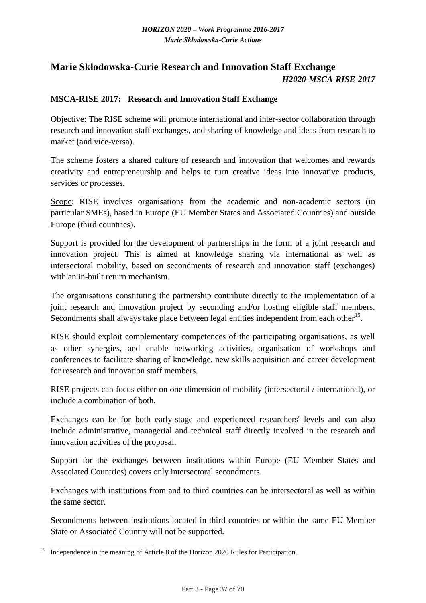# <span id="page-36-0"></span>**Marie Skłodowska-Curie Research and Innovation Staff Exchange**  *H2020-MSCA-RISE-2017*

### <span id="page-36-1"></span>**MSCA-RISE 2017: Research and Innovation Staff Exchange**

Objective: The RISE scheme will promote international and inter-sector collaboration through research and innovation staff exchanges, and sharing of knowledge and ideas from research to market (and vice-versa).

The scheme fosters a shared culture of research and innovation that welcomes and rewards creativity and entrepreneurship and helps to turn creative ideas into innovative products, services or processes.

Scope: RISE involves organisations from the academic and non-academic sectors (in particular SMEs), based in Europe (EU Member States and Associated Countries) and outside Europe (third countries).

Support is provided for the development of partnerships in the form of a joint research and innovation project. This is aimed at knowledge sharing via international as well as intersectoral mobility, based on secondments of research and innovation staff (exchanges) with an in-built return mechanism.

The organisations constituting the partnership contribute directly to the implementation of a joint research and innovation project by seconding and/or hosting eligible staff members. Secondments shall always take place between legal entities independent from each other $^{15}$ .

RISE should exploit complementary competences of the participating organisations, as well as other synergies, and enable networking activities, organisation of workshops and conferences to facilitate sharing of knowledge, new skills acquisition and career development for research and innovation staff members.

RISE projects can focus either on one dimension of mobility (intersectoral / international), or include a combination of both.

Exchanges can be for both early-stage and experienced researchers' levels and can also include administrative, managerial and technical staff directly involved in the research and innovation activities of the proposal.

Support for the exchanges between institutions within Europe (EU Member States and Associated Countries) covers only intersectoral secondments.

Exchanges with institutions from and to third countries can be intersectoral as well as within the same sector.

Secondments between institutions located in third countries or within the same EU Member State or Associated Country will not be supported.

1

<sup>&</sup>lt;sup>15</sup> Independence in the meaning of Article 8 of the Horizon 2020 Rules for Participation.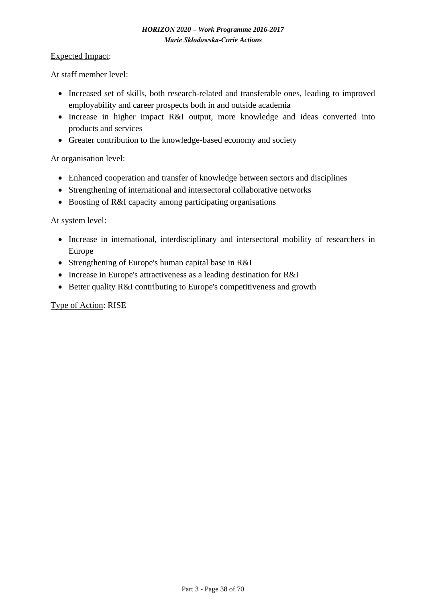#### Expected Impact:

At staff member level:

- Increased set of skills, both research-related and transferable ones, leading to improved employability and career prospects both in and outside academia
- Increase in higher impact R&I output, more knowledge and ideas converted into products and services
- Greater contribution to the knowledge-based economy and society

At organisation level:

- Enhanced cooperation and transfer of knowledge between sectors and disciplines
- Strengthening of international and intersectoral collaborative networks
- Boosting of R&I capacity among participating organisations

At system level:

- Increase in international, interdisciplinary and intersectoral mobility of researchers in Europe
- Strengthening of Europe's human capital base in R&I
- Increase in Europe's attractiveness as a leading destination for R&I
- Better quality R&I contributing to Europe's competitiveness and growth

Type of Action: RISE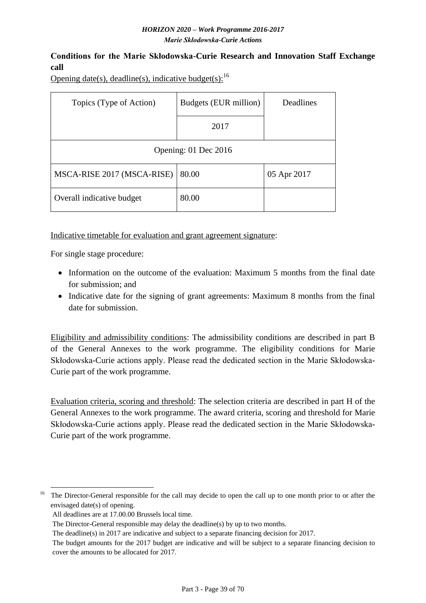# <span id="page-38-0"></span>**Conditions for the Marie Skłodowska-Curie Research and Innovation Staff Exchange call**

Opening date(s), deadline(s), indicative budget(s):  $^{16}$ 

| Topics (Type of Action)    | Budgets (EUR million) | Deadlines   |  |  |  |  |  |  |
|----------------------------|-----------------------|-------------|--|--|--|--|--|--|
|                            | 2017                  |             |  |  |  |  |  |  |
| Opening: 01 Dec 2016       |                       |             |  |  |  |  |  |  |
| MSCA-RISE 2017 (MSCA-RISE) | 80.00                 | 05 Apr 2017 |  |  |  |  |  |  |
| Overall indicative budget  | 80.00                 |             |  |  |  |  |  |  |

Indicative timetable for evaluation and grant agreement signature:

For single stage procedure:

- Information on the outcome of the evaluation: Maximum 5 months from the final date for submission; and
- Indicative date for the signing of grant agreements: Maximum 8 months from the final date for submission.

Eligibility and admissibility conditions: The admissibility conditions are described in part B of the General Annexes to the work programme. The eligibility conditions for Marie Skłodowska-Curie actions apply. Please read the dedicated section in the Marie Skłodowska-Curie part of the work programme.

Evaluation criteria, scoring and threshold: The selection criteria are described in part H of the General Annexes to the work programme. The award criteria, scoring and threshold for Marie Skłodowska-Curie actions apply. Please read the dedicated section in the Marie Skłodowska-Curie part of the work programme.

<sup>1</sup> <sup>16</sup> The Director-General responsible for the call may decide to open the call up to one month prior to or after the envisaged date(s) of opening.

All deadlines are at 17.00.00 Brussels local time.

The Director-General responsible may delay the deadline(s) by up to two months.

The deadline(s) in 2017 are indicative and subject to a separate financing decision for 2017.

The budget amounts for the 2017 budget are indicative and will be subject to a separate financing decision to cover the amounts to be allocated for 2017.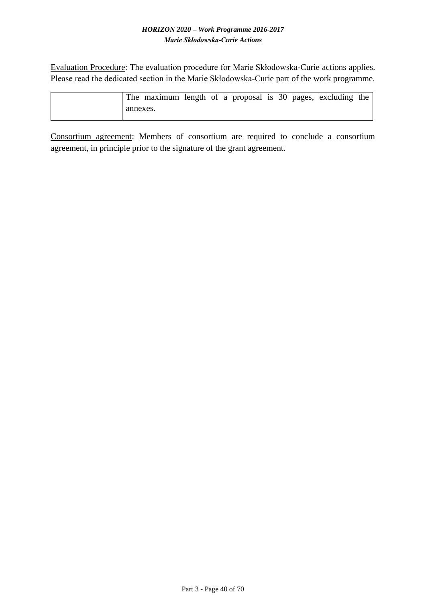Evaluation Procedure: The evaluation procedure for Marie Skłodowska-Curie actions applies. Please read the dedicated section in the Marie Skłodowska-Curie part of the work programme.

|          | The maximum length of a proposal is 30 pages, excluding the |  |  |  |  |  |
|----------|-------------------------------------------------------------|--|--|--|--|--|
| annexes. |                                                             |  |  |  |  |  |

Consortium agreement: Members of consortium are required to conclude a consortium agreement, in principle prior to the signature of the grant agreement.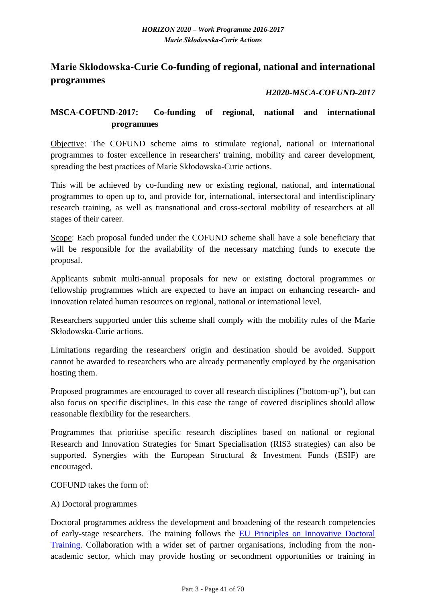# <span id="page-40-0"></span>**Marie Skłodowska-Curie Co-funding of regional, national and international programmes**

# *H2020-MSCA-COFUND-2017*

# <span id="page-40-1"></span>**MSCA-COFUND-2017: Co-funding of regional, national and international programmes**

Objective: The COFUND scheme aims to stimulate regional, national or international programmes to foster excellence in researchers' training, mobility and career development, spreading the best practices of Marie Skłodowska-Curie actions.

This will be achieved by co-funding new or existing regional, national, and international programmes to open up to, and provide for, international, intersectoral and interdisciplinary research training, as well as transnational and cross-sectoral mobility of researchers at all stages of their career.

Scope: Each proposal funded under the COFUND scheme shall have a sole beneficiary that will be responsible for the availability of the necessary matching funds to execute the proposal.

Applicants submit multi-annual proposals for new or existing doctoral programmes or fellowship programmes which are expected to have an impact on enhancing research- and innovation related human resources on regional, national or international level.

Researchers supported under this scheme shall comply with the mobility rules of the Marie Skłodowska-Curie actions.

Limitations regarding the researchers' origin and destination should be avoided. Support cannot be awarded to researchers who are already permanently employed by the organisation hosting them.

Proposed programmes are encouraged to cover all research disciplines ("bottom-up"), but can also focus on specific disciplines. In this case the range of covered disciplines should allow reasonable flexibility for the researchers.

Programmes that prioritise specific research disciplines based on national or regional Research and Innovation Strategies for Smart Specialisation (RIS3 strategies) can also be supported. Synergies with the European Structural & Investment Funds (ESIF) are encouraged.

COFUND takes the form of:

#### A) Doctoral programmes

Doctoral programmes address the development and broadening of the research competencies of early-stage researchers. The training follows the [EU Principles on Innovative Doctoral](http://ec.europa.eu/euraxess/pdf/research_policies/Principles_for_Innovative_Doctoral_Training.pdf)  [Training.](http://ec.europa.eu/euraxess/pdf/research_policies/Principles_for_Innovative_Doctoral_Training.pdf) Collaboration with a wider set of partner organisations, including from the nonacademic sector, which may provide hosting or secondment opportunities or training in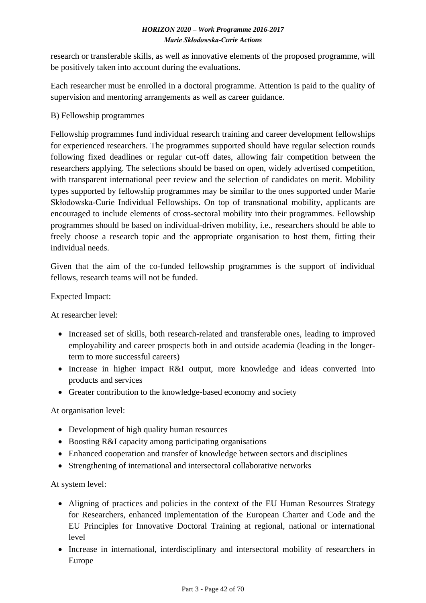research or transferable skills, as well as innovative elements of the proposed programme, will be positively taken into account during the evaluations.

Each researcher must be enrolled in a doctoral programme. Attention is paid to the quality of supervision and mentoring arrangements as well as career guidance.

# B) Fellowship programmes

Fellowship programmes fund individual research training and career development fellowships for experienced researchers. The programmes supported should have regular selection rounds following fixed deadlines or regular cut-off dates, allowing fair competition between the researchers applying. The selections should be based on open, widely advertised competition, with transparent international peer review and the selection of candidates on merit. Mobility types supported by fellowship programmes may be similar to the ones supported under Marie Skłodowska-Curie Individual Fellowships. On top of transnational mobility, applicants are encouraged to include elements of cross-sectoral mobility into their programmes. Fellowship programmes should be based on individual-driven mobility, i.e., researchers should be able to freely choose a research topic and the appropriate organisation to host them, fitting their individual needs.

Given that the aim of the co-funded fellowship programmes is the support of individual fellows, research teams will not be funded.

# Expected Impact:

At researcher level:

- Increased set of skills, both research-related and transferable ones, leading to improved employability and career prospects both in and outside academia (leading in the longerterm to more successful careers)
- Increase in higher impact R&I output, more knowledge and ideas converted into products and services
- Greater contribution to the knowledge-based economy and society

### At organisation level:

- Development of high quality human resources
- Boosting R&I capacity among participating organisations
- Enhanced cooperation and transfer of knowledge between sectors and disciplines
- Strengthening of international and intersectoral collaborative networks

### At system level:

- Aligning of practices and policies in the context of the EU Human Resources Strategy for Researchers, enhanced implementation of the European Charter and Code and the EU Principles for Innovative Doctoral Training at regional, national or international level
- Increase in international, interdisciplinary and intersectoral mobility of researchers in Europe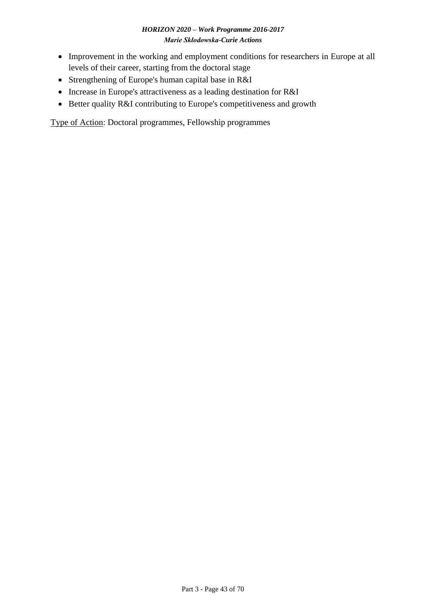- Improvement in the working and employment conditions for researchers in Europe at all levels of their career, starting from the doctoral stage
- Strengthening of Europe's human capital base in R&I
- Increase in Europe's attractiveness as a leading destination for R&I
- Better quality R&I contributing to Europe's competitiveness and growth

Type of Action: Doctoral programmes, Fellowship programmes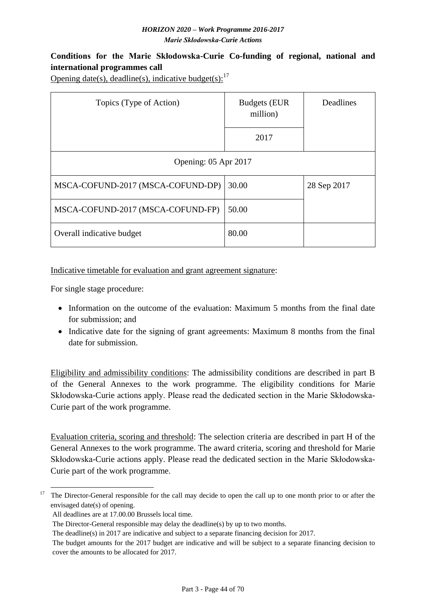# <span id="page-43-0"></span>**Conditions for the Marie Skłodowska-Curie Co-funding of regional, national and international programmes call**

Opening date(s), deadline(s), indicative budget(s): $^{17}$ 

| Topics (Type of Action)           | <b>Budgets (EUR</b><br>million) | Deadlines   |  |  |  |  |  |  |
|-----------------------------------|---------------------------------|-------------|--|--|--|--|--|--|
|                                   | 2017                            |             |  |  |  |  |  |  |
| Opening: 05 Apr 2017              |                                 |             |  |  |  |  |  |  |
| MSCA-COFUND-2017 (MSCA-COFUND-DP) | 30.00                           | 28 Sep 2017 |  |  |  |  |  |  |
| MSCA-COFUND-2017 (MSCA-COFUND-FP) | 50.00                           |             |  |  |  |  |  |  |
| Overall indicative budget         | 80.00                           |             |  |  |  |  |  |  |

#### Indicative timetable for evaluation and grant agreement signature:

For single stage procedure:

- Information on the outcome of the evaluation: Maximum 5 months from the final date for submission; and
- Indicative date for the signing of grant agreements: Maximum 8 months from the final date for submission.

Eligibility and admissibility conditions: The admissibility conditions are described in part B of the General Annexes to the work programme. The eligibility conditions for Marie Skłodowska-Curie actions apply. Please read the dedicated section in the Marie Skłodowska-Curie part of the work programme.

Evaluation criteria, scoring and threshold: The selection criteria are described in part H of the General Annexes to the work programme. The award criteria, scoring and threshold for Marie Skłodowska-Curie actions apply. Please read the dedicated section in the Marie Skłodowska-Curie part of the work programme.

<sup>1</sup> <sup>17</sup> The Director-General responsible for the call may decide to open the call up to one month prior to or after the envisaged date(s) of opening.

All deadlines are at 17.00.00 Brussels local time.

The Director-General responsible may delay the deadline(s) by up to two months.

The deadline(s) in 2017 are indicative and subject to a separate financing decision for 2017.

The budget amounts for the 2017 budget are indicative and will be subject to a separate financing decision to cover the amounts to be allocated for 2017.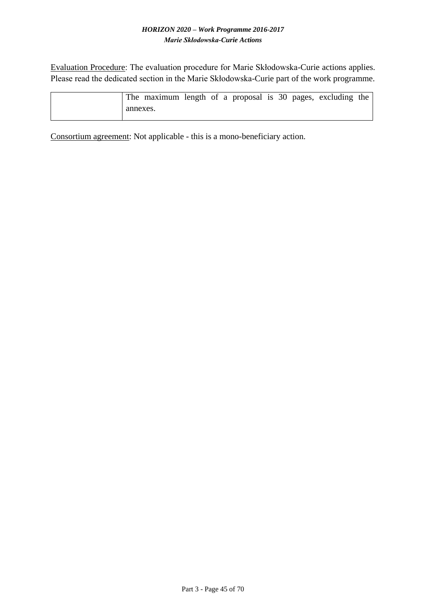Evaluation Procedure: The evaluation procedure for Marie Skłodowska-Curie actions applies. Please read the dedicated section in the Marie Skłodowska-Curie part of the work programme.

|          | The maximum length of a proposal is 30 pages, excluding the |  |  |  |  |  |
|----------|-------------------------------------------------------------|--|--|--|--|--|
| annexes. |                                                             |  |  |  |  |  |

Consortium agreement: Not applicable - this is a mono-beneficiary action.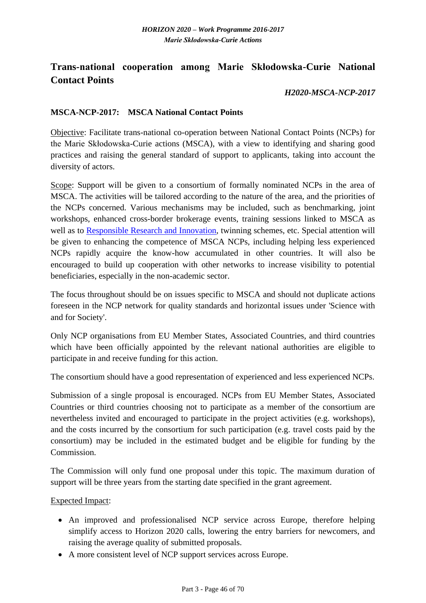# <span id="page-45-0"></span>**Trans-national cooperation among Marie Skłodowska-Curie National Contact Points**

### *H2020-MSCA-NCP-2017*

#### <span id="page-45-1"></span>**MSCA-NCP-2017: MSCA National Contact Points**

Objective: Facilitate trans-national co-operation between National Contact Points (NCPs) for the Marie Skłodowska-Curie actions (MSCA), with a view to identifying and sharing good practices and raising the general standard of support to applicants, taking into account the diversity of actors.

Scope: Support will be given to a consortium of formally nominated NCPs in the area of MSCA. The activities will be tailored according to the nature of the area, and the priorities of the NCPs concerned. Various mechanisms may be included, such as benchmarking, joint workshops, enhanced cross-border brokerage events, training sessions linked to MSCA as well as to [Responsible Research and Innovation,](http://ec.europa.eu/programmes/horizon2020/en/h2020-section/responsible-research-innovation) twinning schemes, etc. Special attention will be given to enhancing the competence of MSCA NCPs, including helping less experienced NCPs rapidly acquire the know-how accumulated in other countries. It will also be encouraged to build up cooperation with other networks to increase visibility to potential beneficiaries, especially in the non-academic sector.

The focus throughout should be on issues specific to MSCA and should not duplicate actions foreseen in the NCP network for quality standards and horizontal issues under 'Science with and for Society'.

Only NCP organisations from EU Member States, Associated Countries, and third countries which have been officially appointed by the relevant national authorities are eligible to participate in and receive funding for this action.

The consortium should have a good representation of experienced and less experienced NCPs.

Submission of a single proposal is encouraged. NCPs from EU Member States, Associated Countries or third countries choosing not to participate as a member of the consortium are nevertheless invited and encouraged to participate in the project activities (e.g. workshops), and the costs incurred by the consortium for such participation (e.g. travel costs paid by the consortium) may be included in the estimated budget and be eligible for funding by the Commission.

The Commission will only fund one proposal under this topic. The maximum duration of support will be three years from the starting date specified in the grant agreement.

Expected Impact:

- An improved and professionalised NCP service across Europe, therefore helping simplify access to Horizon 2020 calls, lowering the entry barriers for newcomers, and raising the average quality of submitted proposals.
- A more consistent level of NCP support services across Europe.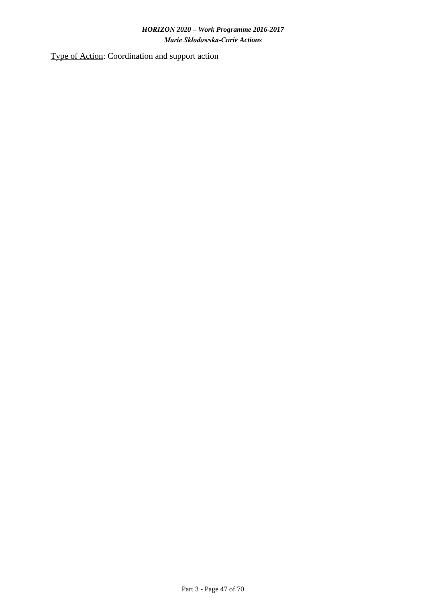Type of Action: Coordination and support action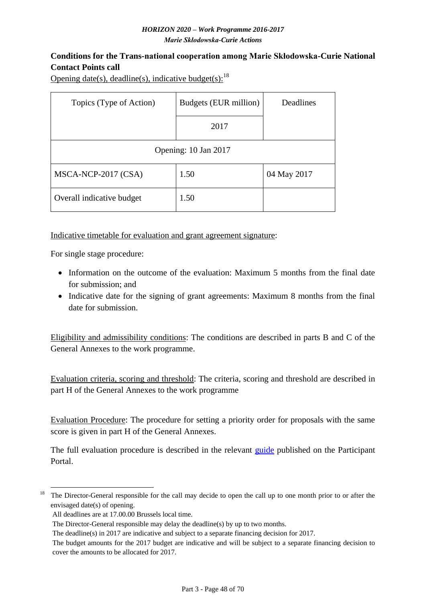# <span id="page-47-0"></span>**Conditions for the Trans-national cooperation among Marie Skłodowska-Curie National Contact Points call**

Opening date(s), deadline(s), indicative budget(s): $^{18}$ 

| Topics (Type of Action)   | Budgets (EUR million) | Deadlines   |  |  |  |  |  |  |
|---------------------------|-----------------------|-------------|--|--|--|--|--|--|
|                           | 2017                  |             |  |  |  |  |  |  |
| Opening: 10 Jan 2017      |                       |             |  |  |  |  |  |  |
| MSCA-NCP-2017 (CSA)       | 1.50                  | 04 May 2017 |  |  |  |  |  |  |
| Overall indicative budget | 1.50                  |             |  |  |  |  |  |  |

Indicative timetable for evaluation and grant agreement signature:

For single stage procedure:

- Information on the outcome of the evaluation: Maximum 5 months from the final date for submission; and
- Indicative date for the signing of grant agreements: Maximum 8 months from the final date for submission.

Eligibility and admissibility conditions: The conditions are described in parts B and C of the General Annexes to the work programme.

Evaluation criteria, scoring and threshold: The criteria, scoring and threshold are described in part H of the General Annexes to the work programme

Evaluation Procedure: The procedure for setting a priority order for proposals with the same score is given in part H of the General Annexes.

The full evaluation procedure is described in the relevant [guide](http://ec.europa.eu/research/participants/data/ref/h2020/grants_manual/pse/h2020-guide-pse_en.pdf) published on the Participant Portal.

<sup>1</sup> <sup>18</sup> The Director-General responsible for the call may decide to open the call up to one month prior to or after the envisaged date(s) of opening.

All deadlines are at 17.00.00 Brussels local time.

The Director-General responsible may delay the deadline(s) by up to two months.

The deadline(s) in 2017 are indicative and subject to a separate financing decision for 2017.

The budget amounts for the 2017 budget are indicative and will be subject to a separate financing decision to cover the amounts to be allocated for 2017.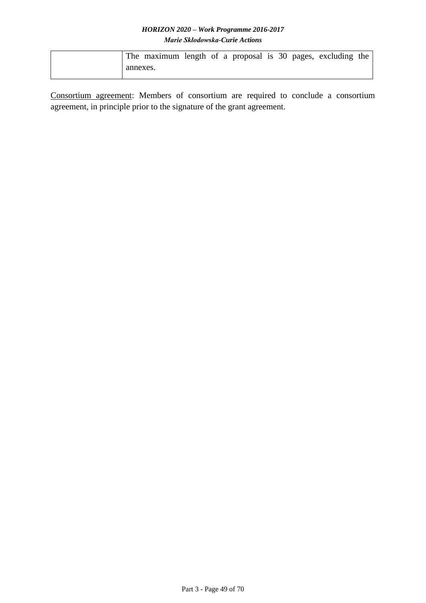|          | The maximum length of a proposal is 30 pages, excluding the |  |  |  |  |  |
|----------|-------------------------------------------------------------|--|--|--|--|--|
| annexes. |                                                             |  |  |  |  |  |

Consortium agreement: Members of consortium are required to conclude a consortium agreement, in principle prior to the signature of the grant agreement.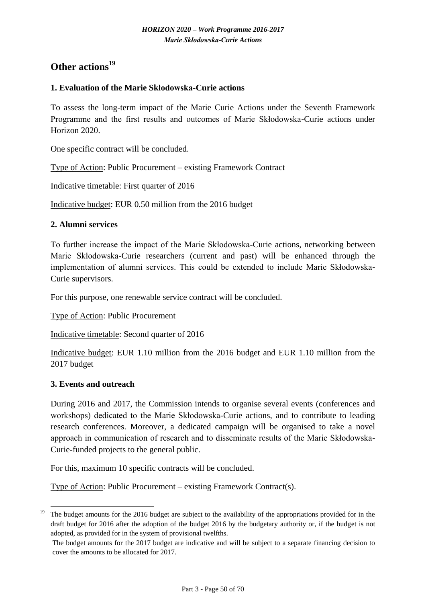# <span id="page-49-0"></span>**Other actions<sup>19</sup>**

### <span id="page-49-1"></span>**1. Evaluation of the Marie Skłodowska-Curie actions**

To assess the long-term impact of the Marie Curie Actions under the Seventh Framework Programme and the first results and outcomes of Marie Skłodowska-Curie actions under Horizon 2020.

One specific contract will be concluded.

Type of Action: Public Procurement – existing Framework Contract

Indicative timetable: First quarter of 2016

Indicative budget: EUR 0.50 million from the 2016 budget

#### <span id="page-49-2"></span>**2. Alumni services**

To further increase the impact of the Marie Skłodowska-Curie actions, networking between Marie Skłodowska-Curie researchers (current and past) will be enhanced through the implementation of alumni services. This could be extended to include Marie Skłodowska-Curie supervisors.

For this purpose, one renewable service contract will be concluded.

Type of Action: Public Procurement

Indicative timetable: Second quarter of 2016

Indicative budget: EUR 1.10 million from the 2016 budget and EUR 1.10 million from the 2017 budget

#### <span id="page-49-3"></span>**3. Events and outreach**

During 2016 and 2017, the Commission intends to organise several events (conferences and workshops) dedicated to the Marie Skłodowska-Curie actions, and to contribute to leading research conferences. Moreover, a dedicated campaign will be organised to take a novel approach in communication of research and to disseminate results of the Marie Skłodowska-Curie-funded projects to the general public.

For this, maximum 10 specific contracts will be concluded.

Type of Action: Public Procurement – existing Framework Contract(s).

<sup>1</sup> <sup>19</sup>The budget amounts for the 2016 budget are subject to the availability of the appropriations provided for in the draft budget for 2016 after the adoption of the budget 2016 by the budgetary authority or, if the budget is not adopted, as provided for in the system of provisional twelfths.

The budget amounts for the 2017 budget are indicative and will be subject to a separate financing decision to cover the amounts to be allocated for 2017.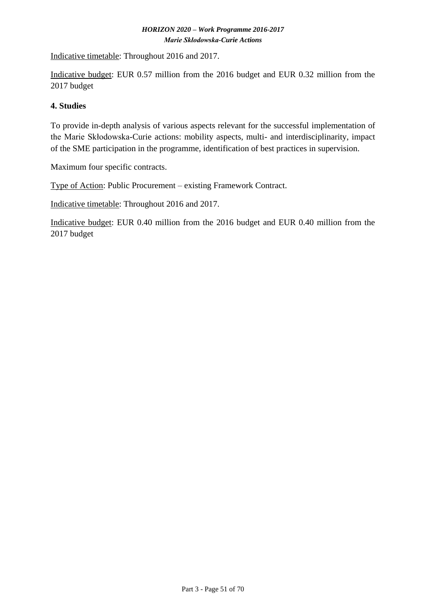Indicative timetable: Throughout 2016 and 2017.

Indicative budget: EUR 0.57 million from the 2016 budget and EUR 0.32 million from the 2017 budget

### <span id="page-50-0"></span>**4. Studies**

To provide in-depth analysis of various aspects relevant for the successful implementation of the Marie Skłodowska-Curie actions: mobility aspects, multi- and interdisciplinarity, impact of the SME participation in the programme, identification of best practices in supervision.

Maximum four specific contracts.

Type of Action: Public Procurement – existing Framework Contract.

Indicative timetable: Throughout 2016 and 2017.

Indicative budget: EUR 0.40 million from the 2016 budget and EUR 0.40 million from the 2017 budget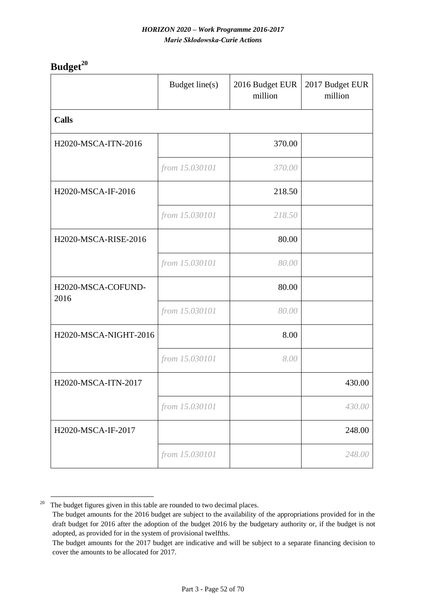<span id="page-51-0"></span>**Budget<sup>20</sup>**

|                            | Budget line(s) | 2016 Budget EUR<br>million | 2017 Budget EUR<br>million |
|----------------------------|----------------|----------------------------|----------------------------|
| <b>Calls</b>               |                |                            |                            |
| H2020-MSCA-ITN-2016        |                | 370.00                     |                            |
|                            | from 15.030101 | 370.00                     |                            |
| H2020-MSCA-IF-2016         |                | 218.50                     |                            |
|                            | from 15.030101 | 218.50                     |                            |
| H2020-MSCA-RISE-2016       |                | 80.00                      |                            |
|                            | from 15.030101 | 80.00                      |                            |
| H2020-MSCA-COFUND-<br>2016 |                | 80.00                      |                            |
|                            | from 15.030101 | 80.00                      |                            |
| H2020-MSCA-NIGHT-2016      |                | 8.00                       |                            |
|                            | from 15.030101 | 8.00                       |                            |
| H2020-MSCA-ITN-2017        |                |                            | 430.00                     |
|                            | from 15.030101 |                            | 430.00                     |
| H2020-MSCA-IF-2017         |                |                            | 248.00                     |
|                            | from 15.030101 |                            | 248.00                     |

<sup>&</sup>lt;u>.</u>  $20$  The budget figures given in this table are rounded to two decimal places.

The budget amounts for the 2016 budget are subject to the availability of the appropriations provided for in the draft budget for 2016 after the adoption of the budget 2016 by the budgetary authority or, if the budget is not adopted, as provided for in the system of provisional twelfths.

The budget amounts for the 2017 budget are indicative and will be subject to a separate financing decision to cover the amounts to be allocated for 2017.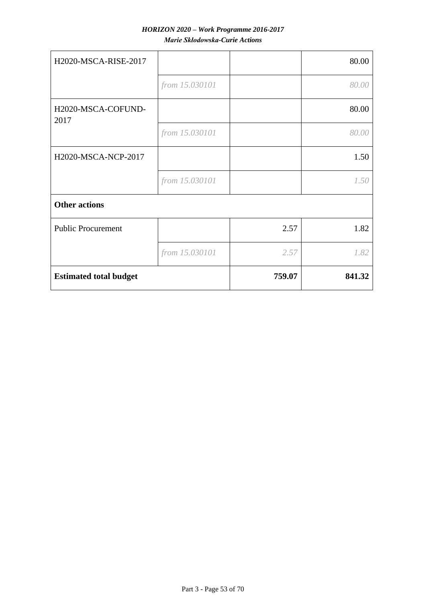| H2020-MSCA-RISE-2017          |                |        | 80.00  |
|-------------------------------|----------------|--------|--------|
|                               | from 15.030101 |        | 80.00  |
| H2020-MSCA-COFUND-<br>2017    |                |        | 80.00  |
|                               | from 15.030101 |        | 80.00  |
| H2020-MSCA-NCP-2017           |                |        | 1.50   |
|                               | from 15.030101 |        | 1.50   |
| <b>Other actions</b>          |                |        |        |
| <b>Public Procurement</b>     |                | 2.57   | 1.82   |
|                               | from 15.030101 | 2.57   | 1.82   |
| <b>Estimated total budget</b> |                | 759.07 | 841.32 |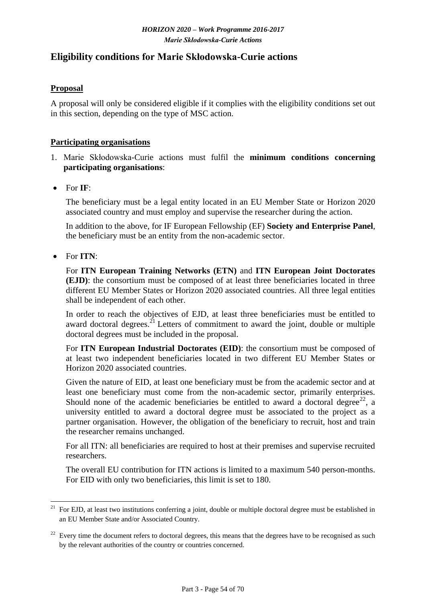# <span id="page-53-0"></span>**Eligibility conditions for Marie Skłodowska-Curie actions**

### **Proposal**

A proposal will only be considered eligible if it complies with the eligibility conditions set out in this section, depending on the type of MSC action.

#### **Participating organisations**

- 1. Marie Skłodowska-Curie actions must fulfil the **minimum conditions concerning participating organisations**:
- For **IF**:

The beneficiary must be a legal entity located in an EU Member State or Horizon 2020 associated country and must employ and supervise the researcher during the action.

In addition to the above, for IF European Fellowship (EF) **Society and Enterprise Panel**, the beneficiary must be an entity from the non-academic sector.

For **ITN**:

For **ITN European Training Networks (ETN)** and **ITN European Joint Doctorates (EJD)**: the consortium must be composed of at least three beneficiaries located in three different EU Member States or Horizon 2020 associated countries. All three legal entities shall be independent of each other.

In order to reach the objectives of EJD, at least three beneficiaries must be entitled to award doctoral degrees.<sup>21</sup> Letters of commitment to award the joint, double or multiple doctoral degrees must be included in the proposal.

For **ITN European Industrial Doctorates (EID)**: the consortium must be composed of at least two independent beneficiaries located in two different EU Member States or Horizon 2020 associated countries.

Given the nature of EID, at least one beneficiary must be from the academic sector and at least one beneficiary must come from the non-academic sector, primarily enterprises. Should none of the academic beneficiaries be entitled to award a doctoral degree<sup>22</sup>, a university entitled to award a doctoral degree must be associated to the project as a partner organisation. However, the obligation of the beneficiary to recruit, host and train the researcher remains unchanged.

For all ITN: all beneficiaries are required to host at their premises and supervise recruited researchers.

The overall EU contribution for ITN actions is limited to a maximum 540 person-months. For EID with only two beneficiaries, this limit is set to 180.

<sup>&</sup>lt;u>.</u>  $21$  For EJD, at least two institutions conferring a joint, double or multiple doctoral degree must be established in an EU Member State and/or Associated Country.

 $22$  Every time the document refers to doctoral degrees, this means that the degrees have to be recognised as such by the relevant authorities of the country or countries concerned.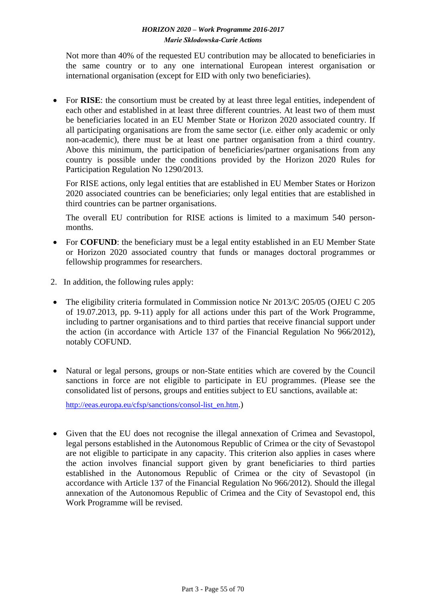Not more than 40% of the requested EU contribution may be allocated to beneficiaries in the same country or to any one international European interest organisation or international organisation (except for EID with only two beneficiaries).

• For **RISE**: the consortium must be created by at least three legal entities, independent of each other and established in at least three different countries. At least two of them must be beneficiaries located in an EU Member State or Horizon 2020 associated country. If all participating organisations are from the same sector (i.e. either only academic or only non-academic), there must be at least one partner organisation from a third country. Above this minimum, the participation of beneficiaries/partner organisations from any country is possible under the conditions provided by the Horizon 2020 Rules for Participation Regulation No 1290/2013.

For RISE actions, only legal entities that are established in EU Member States or Horizon 2020 associated countries can be beneficiaries; only legal entities that are established in third countries can be partner organisations.

The overall EU contribution for RISE actions is limited to a maximum 540 personmonths.

- For **COFUND**: the beneficiary must be a legal entity established in an EU Member State or Horizon 2020 associated country that funds or manages doctoral programmes or fellowship programmes for researchers.
- 2. In addition, the following rules apply:
- The eligibility criteria formulated in Commission notice Nr 2013/C 205/05 (OJEU C 205 of 19.07.2013, pp. 9-11) apply for all actions under this part of the Work Programme, including to partner organisations and to third parties that receive financial support under the action (in accordance with Article 137 of the Financial Regulation No 966/2012), notably COFUND.
- Natural or legal persons, groups or non-State entities which are covered by the Council sanctions in force are not eligible to participate in EU programmes. (Please see the consolidated list of persons, groups and entities subject to EU sanctions, available at:

[http://eeas.europa.eu/cfsp/sanctions/consol-list\\_en.htm](http://eeas.europa.eu/cfsp/sanctions/consol-list_en.htm).)

 Given that the EU does not recognise the illegal annexation of Crimea and Sevastopol, legal persons established in the Autonomous Republic of Crimea or the city of Sevastopol are not eligible to participate in any capacity. This criterion also applies in cases where the action involves financial support given by grant beneficiaries to third parties established in the Autonomous Republic of Crimea or the city of Sevastopol (in accordance with Article 137 of the Financial Regulation No 966/2012). Should the illegal annexation of the Autonomous Republic of Crimea and the City of Sevastopol end, this Work Programme will be revised.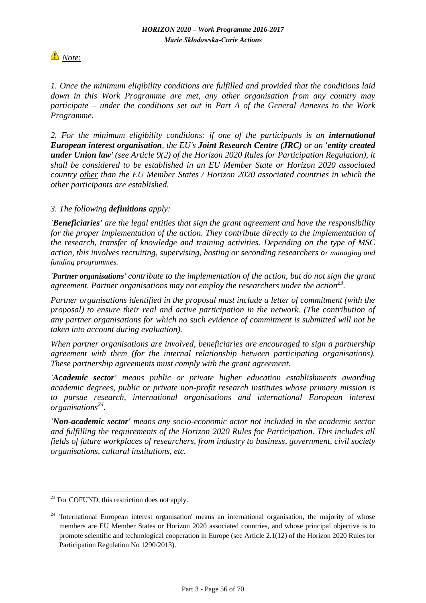

*1. Once the minimum eligibility conditions are fulfilled and provided that the conditions laid down in this Work Programme are met, any other organisation from any country may participate – under the conditions set out in Part A of the General Annexes to the Work Programme.*

*2. For the minimum eligibility conditions: if one of the participants is an international European interest organisation, the EU's Joint Research Centre (JRC) or an 'entity created under Union law' (see Article 9(2) of the Horizon 2020 Rules for Participation Regulation), it shall be considered to be established in an EU Member State or Horizon 2020 associated country other than the EU Member States / Horizon 2020 associated countries in which the other participants are established.* 

### *3. The following definitions apply:*

*'Beneficiaries' are the legal entities that sign the grant agreement and have the responsibility for the proper implementation of the action. They contribute directly to the implementation of the research, transfer of knowledge and training activities. Depending on the type of MSC action, this involves recruiting, supervising, hosting or seconding researchers or managing and funding programmes.* 

*'Partner organisations' contribute to the implementation of the action, but do not sign the grant agreement. Partner organisations may not employ the researchers under the action<sup>23</sup> .*

*Partner organisations identified in the proposal must include a letter of commitment (with the proposal) to ensure their real and active participation in the network. (The contribution of any partner organisations for which no such evidence of commitment is submitted will not be taken into account during evaluation).*

*When partner organisations are involved, beneficiaries are encouraged to sign a partnership agreement with them (for the internal relationship between participating organisations). These partnership agreements must comply with the grant agreement.*

*'Academic sector' means public or private higher education establishments awarding academic degrees, public or private non-profit research institutes whose primary mission is to pursue research, international organisations and international European interest organisations<sup>24</sup> .*

*'Non-academic sector' means any socio-economic actor not included in the academic sector and fulfilling the requirements of the Horizon 2020 Rules for Participation. This includes all fields of future workplaces of researchers, from industry to business, government, civil society organisations, cultural institutions, etc.*

1

 $23$  For COFUND, this restriction does not apply.

 $24$  'International European interest organisation' means an international organisation, the majority of whose members are EU Member States or Horizon 2020 associated countries, and whose principal objective is to promote scientific and technological cooperation in Europe (see Article 2.1(12) of the Horizon 2020 Rules for Participation Regulation No 1290/2013).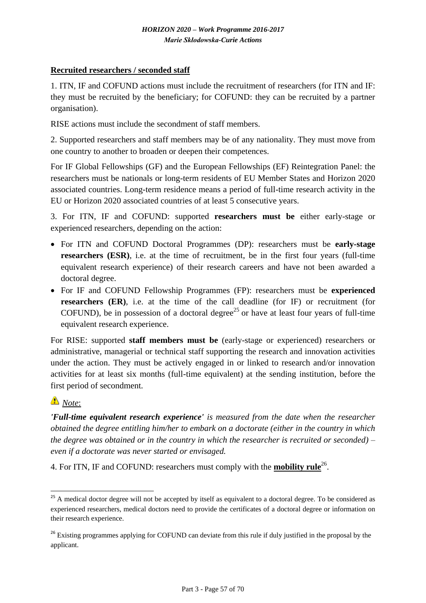### **Recruited researchers / seconded staff**

1. ITN, IF and COFUND actions must include the recruitment of researchers (for ITN and IF: they must be recruited by the beneficiary; for COFUND: they can be recruited by a partner organisation).

RISE actions must include the secondment of staff members.

2. Supported researchers and staff members may be of any nationality. They must move from one country to another to broaden or deepen their competences.

For IF Global Fellowships (GF) and the European Fellowships (EF) Reintegration Panel: the researchers must be nationals or long-term residents of EU Member States and Horizon 2020 associated countries. Long-term residence means a period of full-time research activity in the EU or Horizon 2020 associated countries of at least 5 consecutive years.

3. For ITN, IF and COFUND: supported **researchers must be** either early-stage or experienced researchers, depending on the action:

- For ITN and COFUND Doctoral Programmes (DP): researchers must be **early-stage researchers (ESR)**, i.e. at the time of recruitment, be in the first four years (full-time equivalent research experience) of their research careers and have not been awarded a doctoral degree.
- For IF and COFUND Fellowship Programmes (FP): researchers must be **experienced researchers (ER)**, i.e. at the time of the call deadline (for IF) or recruitment (for COFUND), be in possession of a doctoral degree<sup>25</sup> or have at least four years of full-time equivalent research experience.

For RISE: supported **staff members must be** (early-stage or experienced) researchers or administrative, managerial or technical staff supporting the research and innovation activities under the action. They must be actively engaged in or linked to research and/or innovation activities for at least six months (full-time equivalent) at the sending institution, before the first period of secondment.

# *Note*:

<u>.</u>

*'Full-time equivalent research experience' is measured from the date when the researcher obtained the degree entitling him/her to embark on a doctorate (either in the country in which the degree was obtained or in the country in which the researcher is recruited or seconded) – even if a doctorate was never started or envisaged.*

4. For ITN, IF and COFUND: researchers must comply with the **mobility rule**<sup>26</sup>.

 $^{25}$  A medical doctor degree will not be accepted by itself as equivalent to a doctoral degree. To be considered as experienced researchers, medical doctors need to provide the certificates of a doctoral degree or information on their research experience.

<sup>&</sup>lt;sup>26</sup> Existing programmes applying for COFUND can deviate from this rule if duly justified in the proposal by the applicant.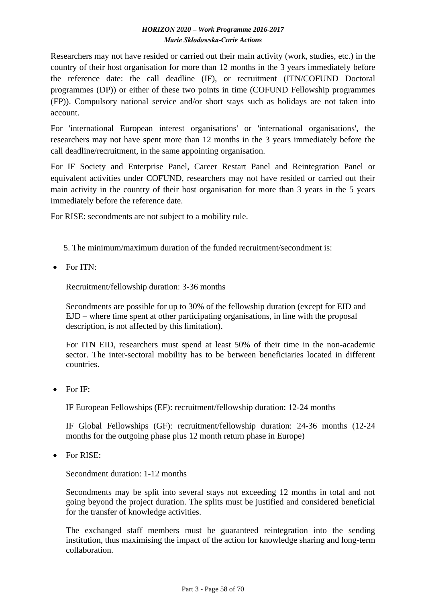Researchers may not have resided or carried out their main activity (work, studies, etc.) in the country of their host organisation for more than 12 months in the 3 years immediately before the reference date: the call deadline (IF), or recruitment (ITN/COFUND Doctoral programmes (DP)) or either of these two points in time (COFUND Fellowship programmes (FP)). Compulsory national service and/or short stays such as holidays are not taken into account.

For 'international European interest organisations' or 'international organisations', the researchers may not have spent more than 12 months in the 3 years immediately before the call deadline/recruitment, in the same appointing organisation.

For IF Society and Enterprise Panel, Career Restart Panel and Reintegration Panel or equivalent activities under COFUND, researchers may not have resided or carried out their main activity in the country of their host organisation for more than 3 years in the 5 years immediately before the reference date.

For RISE: secondments are not subject to a mobility rule.

- 5. The minimum/maximum duration of the funded recruitment/secondment is:
- $\bullet$  For ITN $\cdot$

Recruitment/fellowship duration: 3-36 months

Secondments are possible for up to 30% of the fellowship duration (except for EID and EJD – where time spent at other participating organisations, in line with the proposal description, is not affected by this limitation).

For ITN EID, researchers must spend at least 50% of their time in the non-academic sector. The inter-sectoral mobility has to be between beneficiaries located in different countries.

 $\bullet$  For IF:

IF European Fellowships (EF): recruitment/fellowship duration: 12-24 months

IF Global Fellowships (GF): recruitment/fellowship duration: 24-36 months (12-24 months for the outgoing phase plus 12 month return phase in Europe)

• For RISE:

Secondment duration: 1-12 months

Secondments may be split into several stays not exceeding 12 months in total and not going beyond the project duration. The splits must be justified and considered beneficial for the transfer of knowledge activities.

The exchanged staff members must be guaranteed reintegration into the sending institution, thus maximising the impact of the action for knowledge sharing and long-term collaboration.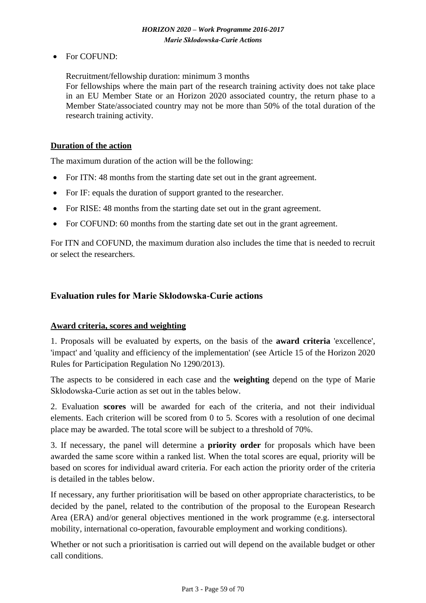• For COFUND:

Recruitment/fellowship duration: minimum 3 months

For fellowships where the main part of the research training activity does not take place in an EU Member State or an Horizon 2020 associated country, the return phase to a Member State/associated country may not be more than 50% of the total duration of the research training activity.

#### **Duration of the action**

The maximum duration of the action will be the following:

- For ITN: 48 months from the starting date set out in the grant agreement.
- For IF: equals the duration of support granted to the researcher.
- For RISE: 48 months from the starting date set out in the grant agreement.
- For COFUND: 60 months from the starting date set out in the grant agreement.

For ITN and COFUND, the maximum duration also includes the time that is needed to recruit or select the researchers.

# <span id="page-58-0"></span>**Evaluation rules for Marie Skłodowska-Curie actions**

### **Award criteria, scores and weighting**

1. Proposals will be evaluated by experts, on the basis of the **award criteria** 'excellence', 'impact' and 'quality and efficiency of the implementation' (see Article 15 of the Horizon 2020 Rules for Participation Regulation No 1290/2013).

The aspects to be considered in each case and the **weighting** depend on the type of Marie Skłodowska-Curie action as set out in the tables below.

2. Evaluation **scores** will be awarded for each of the criteria, and not their individual elements. Each criterion will be scored from 0 to 5. Scores with a resolution of one decimal place may be awarded. The total score will be subject to a threshold of 70%.

3. If necessary, the panel will determine a **priority order** for proposals which have been awarded the same score within a ranked list. When the total scores are equal, priority will be based on scores for individual award criteria. For each action the priority order of the criteria is detailed in the tables below.

If necessary, any further prioritisation will be based on other appropriate characteristics, to be decided by the panel, related to the contribution of the proposal to the European Research Area (ERA) and/or general objectives mentioned in the work programme (e.g. intersectoral mobility, international co-operation, favourable employment and working conditions).

Whether or not such a prioritisation is carried out will depend on the available budget or other call conditions.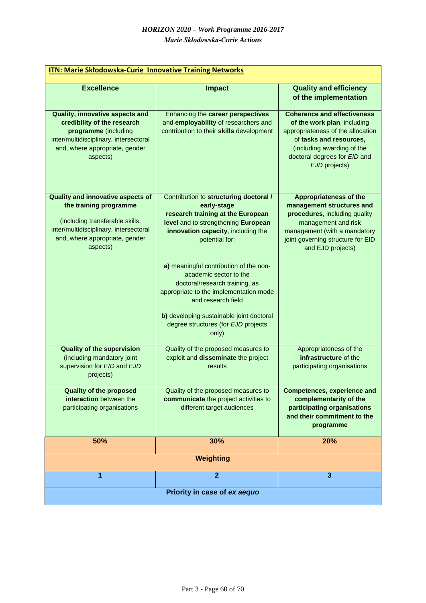| <b>ITN: Marie Skłodowska-Curie Innovative Training Networks</b>                                                                                                                        |                                                                                                                                                                                                                                                                                                                                                                                                                                                             |                                                                                                                                                                                                                  |  |  |
|----------------------------------------------------------------------------------------------------------------------------------------------------------------------------------------|-------------------------------------------------------------------------------------------------------------------------------------------------------------------------------------------------------------------------------------------------------------------------------------------------------------------------------------------------------------------------------------------------------------------------------------------------------------|------------------------------------------------------------------------------------------------------------------------------------------------------------------------------------------------------------------|--|--|
| <b>Excellence</b>                                                                                                                                                                      | <b>Impact</b>                                                                                                                                                                                                                                                                                                                                                                                                                                               | <b>Quality and efficiency</b><br>of the implementation                                                                                                                                                           |  |  |
| Quality, innovative aspects and<br>credibility of the research<br>programme (including<br>inter/multidisciplinary, intersectoral<br>and, where appropriate, gender<br>aspects)         | Enhancing the career perspectives<br>and employability of researchers and<br>contribution to their skills development                                                                                                                                                                                                                                                                                                                                       | <b>Coherence and effectiveness</b><br>of the work plan, including<br>appropriateness of the allocation<br>of tasks and resources,<br>(including awarding of the<br>doctoral degrees for EID and<br>EJD projects) |  |  |
| Quality and innovative aspects of<br>the training programme<br>(including transferable skills,<br>inter/multidisciplinary, intersectoral<br>and, where appropriate, gender<br>aspects) | Contribution to structuring doctoral /<br>early-stage<br>research training at the European<br>level and to strengthening European<br>innovation capacity, including the<br>potential for:<br>a) meaningful contribution of the non-<br>academic sector to the<br>doctoral/research training, as<br>appropriate to the implementation mode<br>and research field<br>b) developing sustainable joint doctoral<br>degree structures (for EJD projects<br>only) | <b>Appropriateness of the</b><br>management structures and<br>procedures, including quality<br>management and risk<br>management (with a mandatory<br>joint governing structure for EID<br>and EJD projects)     |  |  |
| <b>Quality of the supervision</b><br>(including mandatory joint<br>supervision for EID and EJD<br>projects)                                                                            | Quality of the proposed measures to<br>exploit and disseminate the project<br>results                                                                                                                                                                                                                                                                                                                                                                       | Appropriateness of the<br>infrastructure of the<br>participating organisations                                                                                                                                   |  |  |
| <b>Quality of the proposed</b><br>interaction between the<br>participating organisations                                                                                               | Quality of the proposed measures to<br>communicate the project activities to<br>different target audiences                                                                                                                                                                                                                                                                                                                                                  | <b>Competences, experience and</b><br>complementarity of the<br>participating organisations<br>and their commitment to the<br>programme                                                                          |  |  |
| 50%                                                                                                                                                                                    | 30%                                                                                                                                                                                                                                                                                                                                                                                                                                                         | 20%                                                                                                                                                                                                              |  |  |
|                                                                                                                                                                                        | Weighting                                                                                                                                                                                                                                                                                                                                                                                                                                                   |                                                                                                                                                                                                                  |  |  |
| 1                                                                                                                                                                                      | $\overline{2}$                                                                                                                                                                                                                                                                                                                                                                                                                                              | $\overline{\mathbf{3}}$                                                                                                                                                                                          |  |  |
| Priority in case of ex aequo                                                                                                                                                           |                                                                                                                                                                                                                                                                                                                                                                                                                                                             |                                                                                                                                                                                                                  |  |  |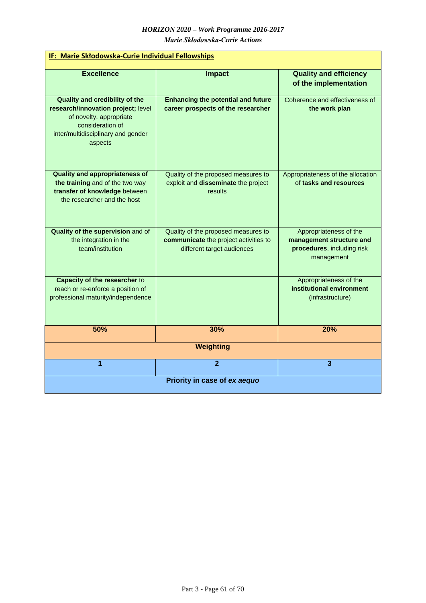*Marie Skłodowska-Curie Actions*

| IF: Marie Skłodowska-Curie Individual Fellowships                                                                                                                           |                                                                                                            |                                                                                                |  |
|-----------------------------------------------------------------------------------------------------------------------------------------------------------------------------|------------------------------------------------------------------------------------------------------------|------------------------------------------------------------------------------------------------|--|
| <b>Excellence</b>                                                                                                                                                           | <b>Impact</b>                                                                                              | <b>Quality and efficiency</b><br>of the implementation                                         |  |
| <b>Quality and credibility of the</b><br>research/innovation project; level<br>of novelty, appropriate<br>consideration of<br>inter/multidisciplinary and gender<br>aspects | <b>Enhancing the potential and future</b><br>career prospects of the researcher                            | Coherence and effectiveness of<br>the work plan                                                |  |
| <b>Quality and appropriateness of</b><br>the training and of the two way<br>transfer of knowledge between<br>the researcher and the host                                    | Quality of the proposed measures to<br>exploit and disseminate the project<br>results                      | Appropriateness of the allocation<br>of tasks and resources                                    |  |
| Quality of the supervision and of<br>the integration in the<br>team/institution                                                                                             | Quality of the proposed measures to<br>communicate the project activities to<br>different target audiences | Appropriateness of the<br>management structure and<br>procedures, including risk<br>management |  |
| <b>Capacity of the researcher to</b><br>reach or re-enforce a position of<br>professional maturity/independence<br>(infrastructure)                                         |                                                                                                            | Appropriateness of the<br>institutional environment                                            |  |
| 50%                                                                                                                                                                         | 30%                                                                                                        | 20%                                                                                            |  |
| Weighting                                                                                                                                                                   |                                                                                                            |                                                                                                |  |
| 1                                                                                                                                                                           | $\overline{2}$                                                                                             | $\overline{\mathbf{3}}$                                                                        |  |
| Priority in case of ex aequo                                                                                                                                                |                                                                                                            |                                                                                                |  |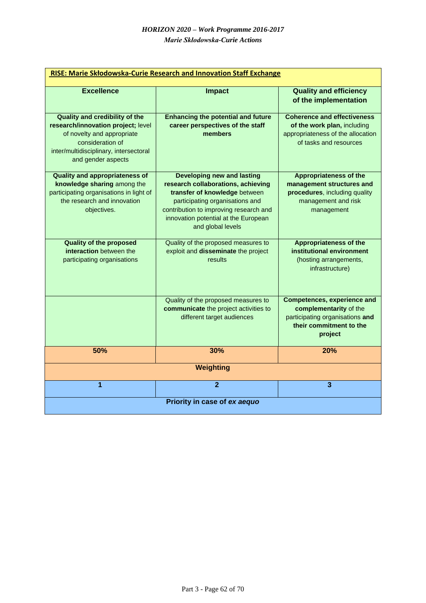| RISE: Marie Skłodowska-Curie Research and Innovation Staff Exchange                                                                                                                           |                                                                                                                                                                                                                                                    |                                                                                                                                       |  |  |
|-----------------------------------------------------------------------------------------------------------------------------------------------------------------------------------------------|----------------------------------------------------------------------------------------------------------------------------------------------------------------------------------------------------------------------------------------------------|---------------------------------------------------------------------------------------------------------------------------------------|--|--|
| <b>Excellence</b>                                                                                                                                                                             | <b>Impact</b>                                                                                                                                                                                                                                      | <b>Quality and efficiency</b><br>of the implementation                                                                                |  |  |
| <b>Quality and credibility of the</b><br>research/innovation project; level<br>of novelty and appropriate<br>consideration of<br>inter/multidisciplinary, intersectoral<br>and gender aspects | <b>Enhancing the potential and future</b><br>career perspectives of the staff<br>members                                                                                                                                                           | <b>Coherence and effectiveness</b><br>of the work plan, including<br>appropriateness of the allocation<br>of tasks and resources      |  |  |
| <b>Quality and appropriateness of</b><br>knowledge sharing among the<br>participating organisations in light of<br>the research and innovation<br>objectives.                                 | <b>Developing new and lasting</b><br>research collaborations, achieving<br>transfer of knowledge between<br>participating organisations and<br>contribution to improving research and<br>innovation potential at the European<br>and global levels | <b>Appropriateness of the</b><br>management structures and<br>procedures, including quality<br>management and risk<br>management      |  |  |
| <b>Quality of the proposed</b><br>interaction between the<br>participating organisations                                                                                                      | Quality of the proposed measures to<br>exploit and disseminate the project<br>results                                                                                                                                                              | <b>Appropriateness of the</b><br>institutional environment<br>(hosting arrangements,<br>infrastructure)                               |  |  |
|                                                                                                                                                                                               | Quality of the proposed measures to<br>communicate the project activities to<br>different target audiences                                                                                                                                         | <b>Competences, experience and</b><br>complementarity of the<br>participating organisations and<br>their commitment to the<br>project |  |  |
| 50%                                                                                                                                                                                           | 30%                                                                                                                                                                                                                                                | 20%                                                                                                                                   |  |  |
| Weighting                                                                                                                                                                                     |                                                                                                                                                                                                                                                    |                                                                                                                                       |  |  |
| 1                                                                                                                                                                                             | $\overline{2}$                                                                                                                                                                                                                                     | 3                                                                                                                                     |  |  |
| Priority in case of ex aequo                                                                                                                                                                  |                                                                                                                                                                                                                                                    |                                                                                                                                       |  |  |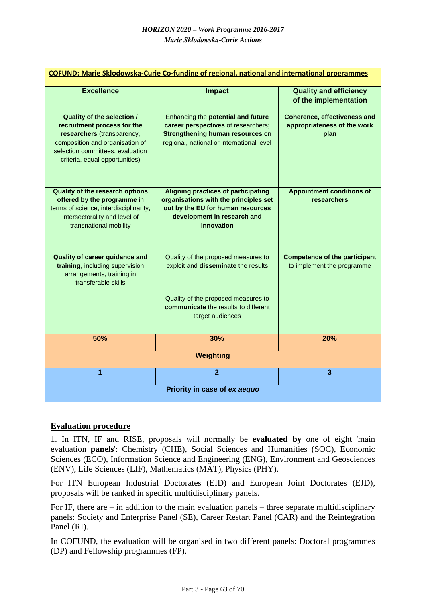| <b>COFUND: Marie Skłodowska-Curie Co-funding of regional, national and international programmes</b>                                                                                                     |                                                                                                                                                                       |                                                                            |  |
|---------------------------------------------------------------------------------------------------------------------------------------------------------------------------------------------------------|-----------------------------------------------------------------------------------------------------------------------------------------------------------------------|----------------------------------------------------------------------------|--|
| <b>Excellence</b>                                                                                                                                                                                       | <b>Impact</b>                                                                                                                                                         | <b>Quality and efficiency</b><br>of the implementation                     |  |
| <b>Quality of the selection /</b><br>recruitment process for the<br>researchers (transparency,<br>composition and organisation of<br>selection committees, evaluation<br>criteria, equal opportunities) | Enhancing the potential and future<br>career perspectives of researchers;<br>Strengthening human resources on<br>regional, national or international level            | <b>Coherence, effectiveness and</b><br>appropriateness of the work<br>plan |  |
| <b>Quality of the research options</b><br>offered by the programme in<br>terms of science, interdisciplinarity,<br>intersectorality and level of<br>transnational mobility                              | <b>Aligning practices of participating</b><br>organisations with the principles set<br>out by the EU for human resources<br>development in research and<br>innovation | <b>Appointment conditions of</b><br>researchers                            |  |
| <b>Quality of career guidance and</b><br>training, including supervision<br>arrangements, training in<br>transferable skills                                                                            | Quality of the proposed measures to<br>exploit and disseminate the results                                                                                            | <b>Competence of the participant</b><br>to implement the programme         |  |
|                                                                                                                                                                                                         | Quality of the proposed measures to<br>communicate the results to different<br>target audiences                                                                       |                                                                            |  |
| 50%                                                                                                                                                                                                     | 30%                                                                                                                                                                   | 20%                                                                        |  |
|                                                                                                                                                                                                         | Weighting                                                                                                                                                             |                                                                            |  |
| 1                                                                                                                                                                                                       | $\overline{2}$                                                                                                                                                        | $\overline{\mathbf{3}}$                                                    |  |
| Priority in case of ex aequo                                                                                                                                                                            |                                                                                                                                                                       |                                                                            |  |

### <span id="page-62-0"></span>**Evaluation procedure**

1. In ITN, IF and RISE, proposals will normally be **evaluated by** one of eight 'main evaluation **panels**': Chemistry (CHE), Social Sciences and Humanities (SOC), Economic Sciences (ECO), Information Science and Engineering (ENG), Environment and Geosciences (ENV), Life Sciences (LIF), Mathematics (MAT), Physics (PHY).

For ITN European Industrial Doctorates (EID) and European Joint Doctorates (EJD), proposals will be ranked in specific multidisciplinary panels.

For IF, there are  $-$  in addition to the main evaluation panels  $-$  three separate multidisciplinary panels: Society and Enterprise Panel (SE), Career Restart Panel (CAR) and the Reintegration Panel (RI).

In COFUND, the evaluation will be organised in two different panels: Doctoral programmes (DP) and Fellowship programmes (FP).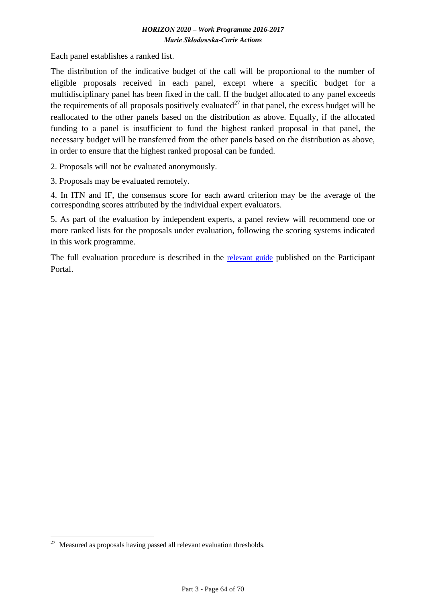Each panel establishes a ranked list.

The distribution of the indicative budget of the call will be proportional to the number of eligible proposals received in each panel, except where a specific budget for a multidisciplinary panel has been fixed in the call. If the budget allocated to any panel exceeds the requirements of all proposals positively evaluated<sup>27</sup> in that panel, the excess budget will be reallocated to the other panels based on the distribution as above. Equally, if the allocated funding to a panel is insufficient to fund the highest ranked proposal in that panel, the necessary budget will be transferred from the other panels based on the distribution as above, in order to ensure that the highest ranked proposal can be funded.

2. Proposals will not be evaluated anonymously.

3. Proposals may be evaluated remotely.

4. In ITN and IF, the consensus score for each award criterion may be the average of the corresponding scores attributed by the individual expert evaluators.

5. As part of the evaluation by independent experts, a panel review will recommend one or more ranked lists for the proposals under evaluation, following the scoring systems indicated in this work programme.

The full evaluation procedure is described in the [relevant guide](http://ec.europa.eu/research/participants/data/ref/h2020/grants_manual/pse/h2020-guide-pse_en.pdf) published on the Participant Portal.

1

Measured as proposals having passed all relevant evaluation thresholds.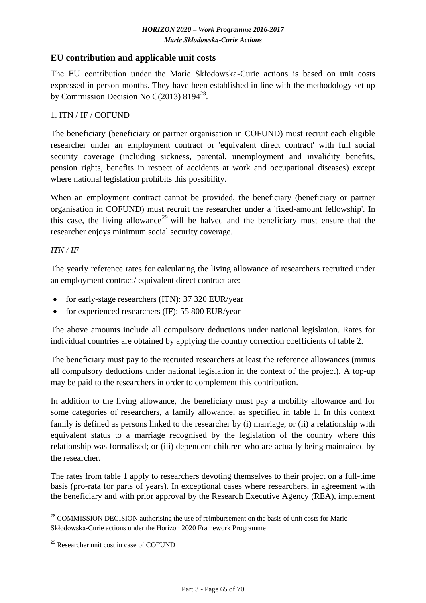# <span id="page-64-0"></span>**EU contribution and applicable unit costs**

The EU contribution under the Marie Skłodowska-Curie actions is based on unit costs expressed in person-months. They have been established in line with the methodology set up by Commission Decision No C(2013)  $8194^{28}$ .

### 1. ITN / IF / COFUND

The beneficiary (beneficiary or partner organisation in COFUND) must recruit each eligible researcher under an employment contract or 'equivalent direct contract' with full social security coverage (including sickness, parental, unemployment and invalidity benefits, pension rights, benefits in respect of accidents at work and occupational diseases) except where national legislation prohibits this possibility.

When an employment contract cannot be provided, the beneficiary (beneficiary or partner organisation in COFUND) must recruit the researcher under a 'fixed-amount fellowship'. In this case, the living allowance<sup>29</sup> will be halved and the beneficiary must ensure that the researcher enjoys minimum social security coverage.

#### *ITN / IF*

1

The yearly reference rates for calculating the living allowance of researchers recruited under an employment contract/ equivalent direct contract are:

- for early-stage researchers (ITN): 37 320 EUR/year
- for experienced researchers (IF): 55 800 EUR/year

The above amounts include all compulsory deductions under national legislation. Rates for individual countries are obtained by applying the country correction coefficients of table 2.

The beneficiary must pay to the recruited researchers at least the reference allowances (minus all compulsory deductions under national legislation in the context of the project). A top-up may be paid to the researchers in order to complement this contribution.

In addition to the living allowance, the beneficiary must pay a mobility allowance and for some categories of researchers, a family allowance, as specified in table 1. In this context family is defined as persons linked to the researcher by (i) marriage, or (ii) a relationship with equivalent status to a marriage recognised by the legislation of the country where this relationship was formalised; or (iii) dependent children who are actually being maintained by the researcher.

The rates from table 1 apply to researchers devoting themselves to their project on a full-time basis (pro-rata for parts of years). In exceptional cases where researchers, in agreement with the beneficiary and with prior approval by the Research Executive Agency (REA), implement

<sup>&</sup>lt;sup>28</sup> COMMISSION DECISION authorising the use of reimbursement on the basis of unit costs for Marie Skłodowska-Curie actions under the Horizon 2020 Framework Programme

<sup>&</sup>lt;sup>29</sup> Researcher unit cost in case of COFUND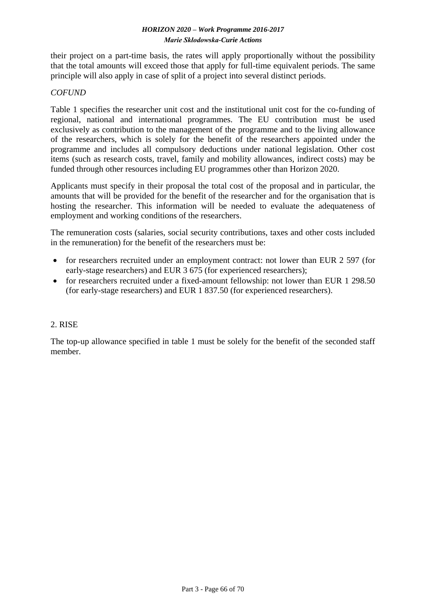their project on a part-time basis, the rates will apply proportionally without the possibility that the total amounts will exceed those that apply for full-time equivalent periods. The same principle will also apply in case of split of a project into several distinct periods.

#### *COFUND*

Table 1 specifies the researcher unit cost and the institutional unit cost for the co-funding of regional, national and international programmes. The EU contribution must be used exclusively as contribution to the management of the programme and to the living allowance of the researchers, which is solely for the benefit of the researchers appointed under the programme and includes all compulsory deductions under national legislation. Other cost items (such as research costs, travel, family and mobility allowances, indirect costs) may be funded through other resources including EU programmes other than Horizon 2020.

Applicants must specify in their proposal the total cost of the proposal and in particular, the amounts that will be provided for the benefit of the researcher and for the organisation that is hosting the researcher. This information will be needed to evaluate the adequateness of employment and working conditions of the researchers.

The remuneration costs (salaries, social security contributions, taxes and other costs included in the remuneration) for the benefit of the researchers must be:

- for researchers recruited under an employment contract: not lower than EUR 2 597 (for early-stage researchers) and EUR 3 675 (for experienced researchers);
- for researchers recruited under a fixed-amount fellowship: not lower than EUR 1 298.50 (for early-stage researchers) and EUR 1 837.50 (for experienced researchers).

#### 2. RISE

The top-up allowance specified in table 1 must be solely for the benefit of the seconded staff member.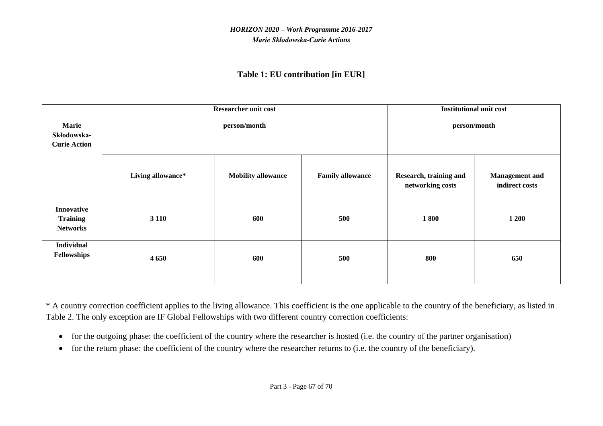# **Table 1: EU contribution [in EUR]**

|                                                         | <b>Researcher unit cost</b> |                           |                         |                                            | <b>Institutional unit cost</b>          |
|---------------------------------------------------------|-----------------------------|---------------------------|-------------------------|--------------------------------------------|-----------------------------------------|
| <b>Marie</b><br>Skłodowska-<br><b>Curie Action</b>      | person/month                |                           | person/month            |                                            |                                         |
|                                                         | Living allowance*           | <b>Mobility allowance</b> | <b>Family allowance</b> | Research, training and<br>networking costs | <b>Management</b> and<br>indirect costs |
| <b>Innovative</b><br><b>Training</b><br><b>Networks</b> | 3 1 1 0                     | 600                       | 500                     | 1800                                       | 1 200                                   |
| <b>Individual</b><br>Fellowships                        | 4 6 5 0                     | 600                       | 500                     | 800                                        | 650                                     |

\* A country correction coefficient applies to the living allowance. This coefficient is the one applicable to the country of the beneficiary, as listed in Table 2. The only exception are IF Global Fellowships with two different country correction coefficients:

- for the outgoing phase: the coefficient of the country where the researcher is hosted (i.e. the country of the partner organisation)
- for the return phase: the coefficient of the country where the researcher returns to (i.e. the country of the beneficiary).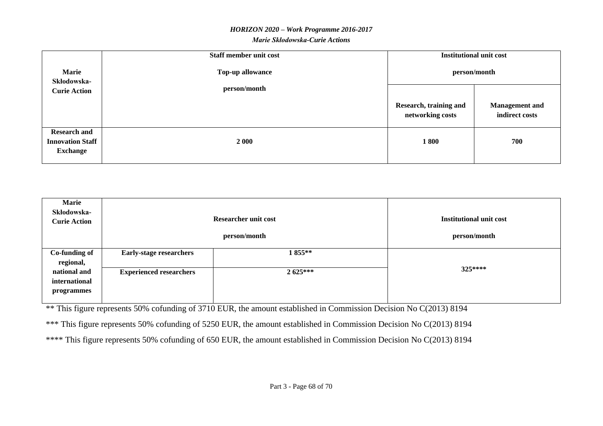#### *Marie Skłodowska-Curie Actions*

|                                                                   | Staff member unit cost |                                            | <b>Institutional unit cost</b>          |
|-------------------------------------------------------------------|------------------------|--------------------------------------------|-----------------------------------------|
| <b>Marie</b><br>Top-up allowance<br>Skłodowska-                   |                        |                                            | person/month                            |
| <b>Curie Action</b>                                               | person/month           |                                            |                                         |
|                                                                   |                        | Research, training and<br>networking costs | <b>Management</b> and<br>indirect costs |
| <b>Research and</b><br><b>Innovation Staff</b><br><b>Exchange</b> | 2 000                  | 1800                                       | 700                                     |

| <b>Marie</b><br>Skłodowska-<br><b>Curie Action</b> | <b>Researcher unit cost</b>    |            | <b>Institutional unit cost</b> |
|----------------------------------------------------|--------------------------------|------------|--------------------------------|
|                                                    | person/month                   |            | person/month                   |
| Co-funding of<br>regional,                         | <b>Early-stage researchers</b> | 1855**     |                                |
| national and<br>international<br>programmes        | <b>Experienced researchers</b> | $2.625***$ | 325****                        |
|                                                    |                                |            |                                |

\*\* This figure represents 50% cofunding of 3710 EUR, the amount established in Commission Decision No C(2013) 8194

\*\*\* This figure represents 50% cofunding of 5250 EUR, the amount established in Commission Decision No C(2013) 8194

\*\*\*\* This figure represents 50% cofunding of 650 EUR, the amount established in Commission Decision No C(2013) 8194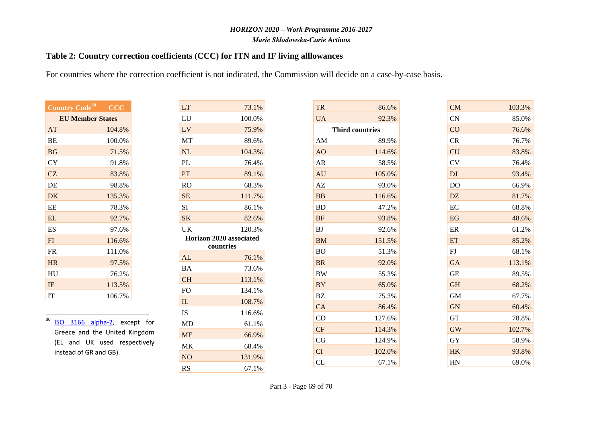*Marie Skłodowska-Curie Actions*

### **Table 2: Country correction coefficients (CCC) for ITN and IF living alllowances**

For countries where the correction coefficient is not indicated, the Commission will decide on a case-by-case basis.

LT 73.1% LU 100.0% LV 75.9% MT 89.6% NL 104.3% PL 76.4% PT 89.1% RO 68.3%

| Country Code <sup>30</sup> | $\overline{\text{CCC}}$ |  |
|----------------------------|-------------------------|--|
| <b>EU Member States</b>    |                         |  |
| AT                         | 104.8%                  |  |
| <b>BE</b>                  | 100.0%                  |  |
| <b>BG</b>                  | 71.5%                   |  |
| CY                         | 91.8%                   |  |
| CZ                         | 83.8%                   |  |
| DE                         | 98.8%                   |  |
| DK                         | 135.3%                  |  |
| EF.                        | 78.3%                   |  |
| EL                         | 92.7%                   |  |
| ES                         | 97.6%                   |  |
| FI                         | 116.6%                  |  |
| <b>FR</b>                  | 111.0%                  |  |
| <b>HR</b>                  | 97.5%                   |  |
| <b>HU</b>                  | 76.2%                   |  |
| <b>IE</b>                  | 113.5%                  |  |
| IТ                         | 106.7%                  |  |

 $30$ 

| K                      | 135.3%                        |  | <b>SE</b>      | 111.7%                                      |
|------------------------|-------------------------------|--|----------------|---------------------------------------------|
| Е                      | 78.3%                         |  | <b>SI</b>      | 86.1%                                       |
| L                      | 92.7%                         |  | <b>SK</b>      | 82.6%                                       |
| S                      | 97.6%                         |  | <b>UK</b>      | 120.3%                                      |
| Ĺ                      | 116.6%                        |  |                | <b>Horizon 2020 associated</b><br>countries |
| R                      | 111.0%                        |  |                |                                             |
| $\overline{\text{R}}$  | 97.5%                         |  | AL             | 76.1%                                       |
| U                      | 76.2%                         |  | <b>BA</b>      | 73.6%                                       |
|                        |                               |  | <b>CH</b>      | 113.1%                                      |
| Ŧ,                     | 113.5%                        |  | F <sub>O</sub> | 134.1%                                      |
|                        | 106.7%                        |  | IL             | 108.7%                                      |
|                        |                               |  | <b>IS</b>      | 116.6%                                      |
|                        | ISO 3166 alpha-2, except for  |  | MD             | 61.1%                                       |
|                        | Greece and the United Kingdom |  | <b>ME</b>      | 66.9%                                       |
|                        | (EL and UK used respectively  |  | MK             | 68.4%                                       |
| instead of GR and GB). |                               |  | <b>NO</b>      | 131.9%                                      |
|                        |                               |  | RS             | 67.1%                                       |

| <b>TR</b> | 86.6%                  |
|-----------|------------------------|
| <b>UA</b> | 92.3%                  |
|           | <b>Third countries</b> |
| AM        | 89.9%                  |
| AO        | 114.6%                 |
| AR        | 58.5%                  |
| AU        | 105.0%                 |
| AZ        | 93.0%                  |
| <b>BB</b> | 116.6%                 |
| <b>BD</b> | 47.2%                  |
| <b>BF</b> | 93.8%                  |
| <b>BJ</b> | 92.6%                  |
| <b>BM</b> | 151.5%                 |
| <b>BO</b> | 51.3%                  |
| <b>BR</b> | 92.0%                  |
| BW        | 55.3%                  |
| <b>BY</b> | 65.0%                  |
| BZ        | 75.3%                  |
| CA        | 86.4%                  |
| CD        | 127.6%                 |
| <b>CF</b> | 114.3%                 |
| CG        | 124.9%                 |
| CI        | 102.0%                 |
| $\rm CL$  | 67.1%                  |